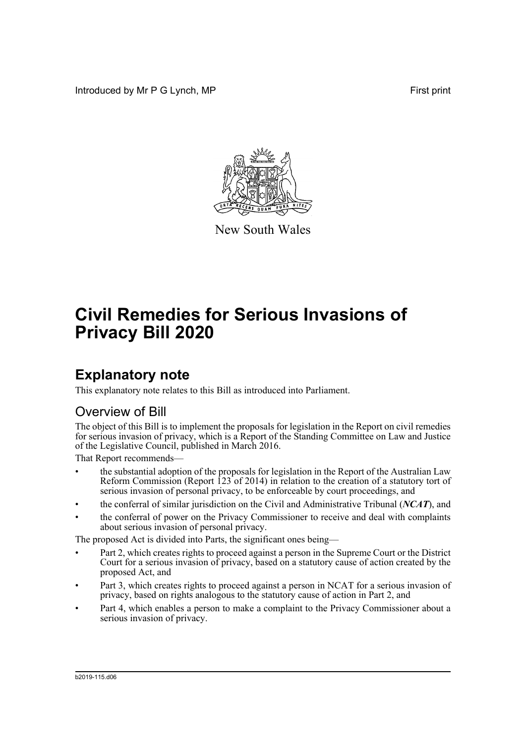Introduced by Mr P G Lynch, MP First print



New South Wales

## **Civil Remedies for Serious Invasions of Privacy Bill 2020**

## **Explanatory note**

This explanatory note relates to this Bill as introduced into Parliament.

## Overview of Bill

The object of this Bill is to implement the proposals for legislation in the Report on civil remedies for serious invasion of privacy, which is a Report of the Standing Committee on Law and Justice of the Legislative Council, published in March 2016.

That Report recommends—

- the substantial adoption of the proposals for legislation in the Report of the Australian Law Reform Commission (Report  $123$  of 2014) in relation to the creation of a statutory tort of serious invasion of personal privacy, to be enforceable by court proceedings, and
- the conferral of similar jurisdiction on the Civil and Administrative Tribunal (*NCAT*), and
- the conferral of power on the Privacy Commissioner to receive and deal with complaints about serious invasion of personal privacy.

The proposed Act is divided into Parts, the significant ones being—

- Part 2, which creates rights to proceed against a person in the Supreme Court or the District Court for a serious invasion of privacy, based on a statutory cause of action created by the proposed Act, and
- Part 3, which creates rights to proceed against a person in NCAT for a serious invasion of privacy, based on rights analogous to the statutory cause of action in Part 2, and
- Part 4, which enables a person to make a complaint to the Privacy Commissioner about a serious invasion of privacy.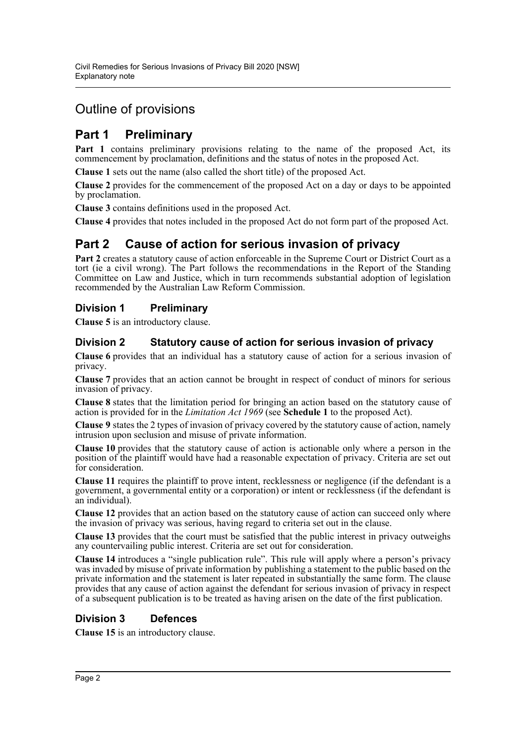## Outline of provisions

## **Part 1 Preliminary**

**Part 1** contains preliminary provisions relating to the name of the proposed Act, its commencement by proclamation, definitions and the status of notes in the proposed Act.

**Clause 1** sets out the name (also called the short title) of the proposed Act.

**Clause 2** provides for the commencement of the proposed Act on a day or days to be appointed by proclamation.

**Clause 3** contains definitions used in the proposed Act.

**Clause 4** provides that notes included in the proposed Act do not form part of the proposed Act.

## **Part 2 Cause of action for serious invasion of privacy**

**Part 2** creates a statutory cause of action enforceable in the Supreme Court or District Court as a tort (ie a civil wrong). The Part follows the recommendations in the Report of the Standing Committee on Law and Justice, which in turn recommends substantial adoption of legislation recommended by the Australian Law Reform Commission.

### **Division 1 Preliminary**

**Clause 5** is an introductory clause.

### **Division 2 Statutory cause of action for serious invasion of privacy**

**Clause 6** provides that an individual has a statutory cause of action for a serious invasion of privacy.

**Clause 7** provides that an action cannot be brought in respect of conduct of minors for serious invasion of privacy.

**Clause 8** states that the limitation period for bringing an action based on the statutory cause of action is provided for in the *Limitation Act 1969* (see **Schedule 1** to the proposed Act).

**Clause 9** states the 2 types of invasion of privacy covered by the statutory cause of action, namely intrusion upon seclusion and misuse of private information.

**Clause 10** provides that the statutory cause of action is actionable only where a person in the position of the plaintiff would have had a reasonable expectation of privacy. Criteria are set out for consideration.

**Clause 11** requires the plaintiff to prove intent, recklessness or negligence (if the defendant is a government, a governmental entity or a corporation) or intent or recklessness (if the defendant is an individual).

**Clause 12** provides that an action based on the statutory cause of action can succeed only where the invasion of privacy was serious, having regard to criteria set out in the clause.

**Clause 13** provides that the court must be satisfied that the public interest in privacy outweighs any countervailing public interest. Criteria are set out for consideration.

**Clause 14** introduces a "single publication rule". This rule will apply where a person's privacy was invaded by misuse of private information by publishing a statement to the public based on the private information and the statement is later repeated in substantially the same form. The clause provides that any cause of action against the defendant for serious invasion of privacy in respect of a subsequent publication is to be treated as having arisen on the date of the first publication.

## **Division 3 Defences**

**Clause 15** is an introductory clause.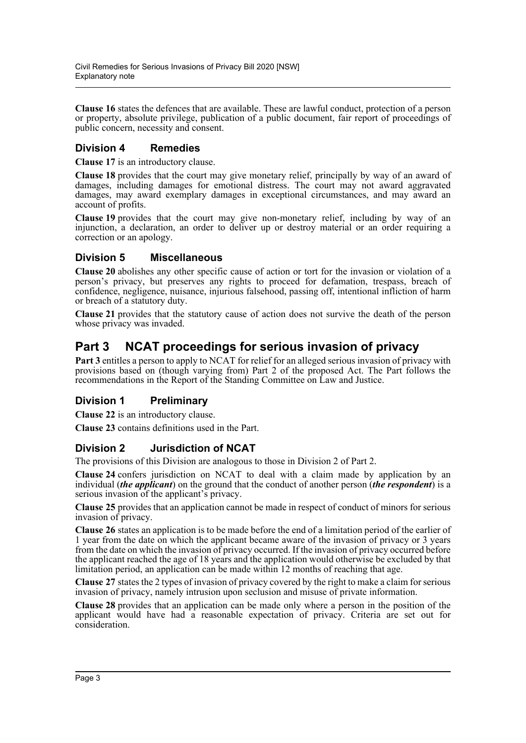**Clause 16** states the defences that are available. These are lawful conduct, protection of a person or property, absolute privilege, publication of a public document, fair report of proceedings of public concern, necessity and consent.

## **Division 4 Remedies**

**Clause 17** is an introductory clause.

**Clause 18** provides that the court may give monetary relief, principally by way of an award of damages, including damages for emotional distress. The court may not award aggravated damages, may award exemplary damages in exceptional circumstances, and may award an account of profits.

**Clause 19** provides that the court may give non-monetary relief, including by way of an injunction, a declaration, an order to deliver up or destroy material or an order requiring a correction or an apology.

### **Division 5 Miscellaneous**

**Clause 20** abolishes any other specific cause of action or tort for the invasion or violation of a person's privacy, but preserves any rights to proceed for defamation, trespass, breach of confidence, negligence, nuisance, injurious falsehood, passing off, intentional infliction of harm or breach of a statutory duty.

**Clause 21** provides that the statutory cause of action does not survive the death of the person whose privacy was invaded.

## **Part 3 NCAT proceedings for serious invasion of privacy**

**Part 3** entitles a person to apply to NCAT for relief for an alleged serious invasion of privacy with provisions based on (though varying from) Part 2 of the proposed Act. The Part follows the recommendations in the Report of the Standing Committee on Law and Justice.

### **Division 1 Preliminary**

**Clause 22** is an introductory clause.

**Clause 23** contains definitions used in the Part.

### **Division 2 Jurisdiction of NCAT**

The provisions of this Division are analogous to those in Division 2 of Part 2.

**Clause 24** confers jurisdiction on NCAT to deal with a claim made by application by an individual (*the applicant*) on the ground that the conduct of another person (*the respondent*) is a serious invasion of the applicant's privacy.

**Clause 25** provides that an application cannot be made in respect of conduct of minors for serious invasion of privacy.

**Clause 26** states an application is to be made before the end of a limitation period of the earlier of 1 year from the date on which the applicant became aware of the invasion of privacy or 3 years from the date on which the invasion of privacy occurred. If the invasion of privacy occurred before the applicant reached the age of 18 years and the application would otherwise be excluded by that limitation period, an application can be made within 12 months of reaching that age.

**Clause 27** states the 2 types of invasion of privacy covered by the right to make a claim for serious invasion of privacy, namely intrusion upon seclusion and misuse of private information.

**Clause 28** provides that an application can be made only where a person in the position of the applicant would have had a reasonable expectation of privacy. Criteria are set out for consideration.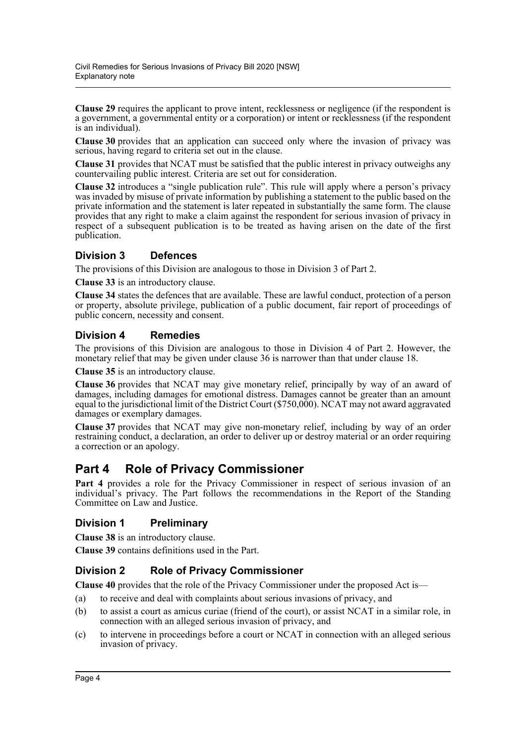**Clause 29** requires the applicant to prove intent, recklessness or negligence (if the respondent is a government, a governmental entity or a corporation) or intent or recklessness (if the respondent is an individual).

**Clause 30** provides that an application can succeed only where the invasion of privacy was serious, having regard to criteria set out in the clause.

**Clause 31** provides that NCAT must be satisfied that the public interest in privacy outweighs any countervailing public interest. Criteria are set out for consideration.

**Clause 32** introduces a "single publication rule". This rule will apply where a person's privacy was invaded by misuse of private information by publishing a statement to the public based on the private information and the statement is later repeated in substantially the same form. The clause provides that any right to make a claim against the respondent for serious invasion of privacy in respect of a subsequent publication is to be treated as having arisen on the date of the first publication.

### **Division 3 Defences**

The provisions of this Division are analogous to those in Division 3 of Part 2.

**Clause 33** is an introductory clause.

**Clause 34** states the defences that are available. These are lawful conduct, protection of a person or property, absolute privilege, publication of a public document, fair report of proceedings of public concern, necessity and consent.

### **Division 4 Remedies**

The provisions of this Division are analogous to those in Division 4 of Part 2. However, the monetary relief that may be given under clause 36 is narrower than that under clause 18.

**Clause 35** is an introductory clause.

**Clause 36** provides that NCAT may give monetary relief, principally by way of an award of damages, including damages for emotional distress. Damages cannot be greater than an amount equal to the jurisdictional limit of the District Court (\$750,000). NCAT may not award aggravated damages or exemplary damages.

**Clause 37** provides that NCAT may give non-monetary relief, including by way of an order restraining conduct, a declaration, an order to deliver up or destroy material or an order requiring a correction or an apology.

## **Part 4 Role of Privacy Commissioner**

**Part 4** provides a role for the Privacy Commissioner in respect of serious invasion of an individual's privacy. The Part follows the recommendations in the Report of the Standing Committee on Law and Justice.

### **Division 1 Preliminary**

**Clause 38** is an introductory clause.

**Clause 39** contains definitions used in the Part.

### **Division 2 Role of Privacy Commissioner**

**Clause 40** provides that the role of the Privacy Commissioner under the proposed Act is—

- (a) to receive and deal with complaints about serious invasions of privacy, and
- (b) to assist a court as amicus curiae (friend of the court), or assist NCAT in a similar role, in connection with an alleged serious invasion of privacy, and
- (c) to intervene in proceedings before a court or NCAT in connection with an alleged serious invasion of privacy.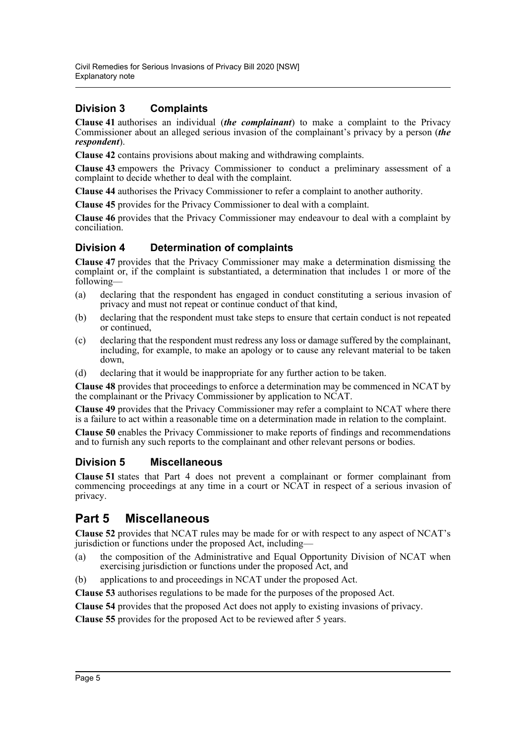## **Division 3 Complaints**

**Clause 41** authorises an individual (*the complainant*) to make a complaint to the Privacy Commissioner about an alleged serious invasion of the complainant's privacy by a person (*the respondent*).

**Clause 42** contains provisions about making and withdrawing complaints.

**Clause 43** empowers the Privacy Commissioner to conduct a preliminary assessment of a complaint to decide whether to deal with the complaint.

**Clause 44** authorises the Privacy Commissioner to refer a complaint to another authority.

**Clause 45** provides for the Privacy Commissioner to deal with a complaint.

**Clause 46** provides that the Privacy Commissioner may endeavour to deal with a complaint by conciliation.

### **Division 4 Determination of complaints**

**Clause 47** provides that the Privacy Commissioner may make a determination dismissing the complaint or, if the complaint is substantiated, a determination that includes 1 or more of the following—

- (a) declaring that the respondent has engaged in conduct constituting a serious invasion of privacy and must not repeat or continue conduct of that kind,
- (b) declaring that the respondent must take steps to ensure that certain conduct is not repeated or continued,
- (c) declaring that the respondent must redress any loss or damage suffered by the complainant, including, for example, to make an apology or to cause any relevant material to be taken down,
- (d) declaring that it would be inappropriate for any further action to be taken.

**Clause 48** provides that proceedings to enforce a determination may be commenced in NCAT by the complainant or the Privacy Commissioner by application to NCAT.

**Clause 49** provides that the Privacy Commissioner may refer a complaint to NCAT where there is a failure to act within a reasonable time on a determination made in relation to the complaint.

**Clause 50** enables the Privacy Commissioner to make reports of findings and recommendations and to furnish any such reports to the complainant and other relevant persons or bodies.

### **Division 5 Miscellaneous**

**Clause 51** states that Part 4 does not prevent a complainant or former complainant from commencing proceedings at any time in a court or NCAT in respect of a serious invasion of privacy.

## **Part 5 Miscellaneous**

**Clause 52** provides that NCAT rules may be made for or with respect to any aspect of NCAT's jurisdiction or functions under the proposed Act, including—

- (a) the composition of the Administrative and Equal Opportunity Division of NCAT when exercising jurisdiction or functions under the proposed Act, and
- (b) applications to and proceedings in NCAT under the proposed Act.

**Clause 53** authorises regulations to be made for the purposes of the proposed Act.

**Clause 54** provides that the proposed Act does not apply to existing invasions of privacy.

**Clause 55** provides for the proposed Act to be reviewed after 5 years.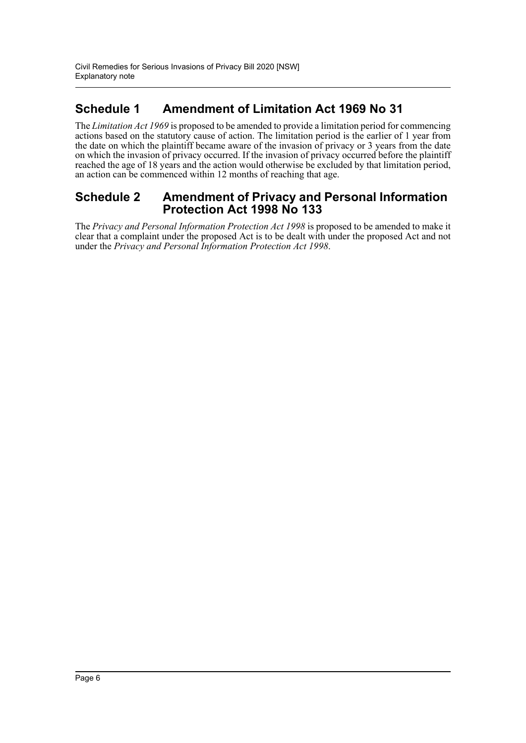## **Schedule 1 Amendment of Limitation Act 1969 No 31**

The *Limitation Act 1969* is proposed to be amended to provide a limitation period for commencing actions based on the statutory cause of action. The limitation period is the earlier of 1 year from the date on which the plaintiff became aware of the invasion of privacy or 3 years from the date on which the invasion of privacy occurred. If the invasion of privacy occurred before the plaintiff reached the age of 18 years and the action would otherwise be excluded by that limitation period, an action can be commenced within 12 months of reaching that age.

## **Schedule 2 Amendment of Privacy and Personal Information Protection Act 1998 No 133**

The *Privacy and Personal Information Protection Act 1998* is proposed to be amended to make it clear that a complaint under the proposed Act is to be dealt with under the proposed Act and not under the *Privacy and Personal Information Protection Act 1998*.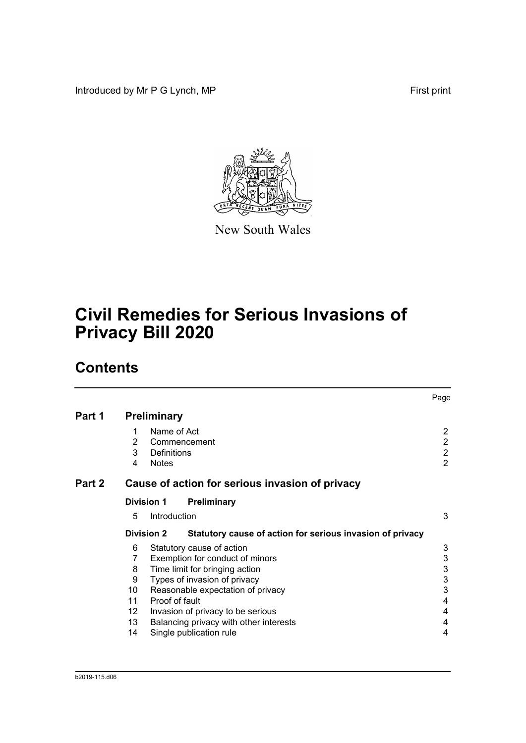Introduced by Mr P G Lynch, MP First print



New South Wales

# **Civil Remedies for Serious Invasions of Privacy Bill 2020**

## **Contents**

|        |                   |                                    |                                                           | Page                      |
|--------|-------------------|------------------------------------|-----------------------------------------------------------|---------------------------|
| Part 1 |                   | <b>Preliminary</b>                 |                                                           |                           |
|        | 1<br>2            | Name of Act                        |                                                           | 2<br>$\overline{2}$       |
|        | 3                 | Commencement<br><b>Definitions</b> |                                                           | $\overline{2}$            |
|        | 4                 | <b>Notes</b>                       |                                                           | $\overline{2}$            |
| Part 2 |                   |                                    | Cause of action for serious invasion of privacy           |                           |
|        | <b>Division 1</b> |                                    | Preliminary                                               |                           |
|        | 5                 | Introduction                       |                                                           | 3                         |
|        |                   | <b>Division 2</b>                  | Statutory cause of action for serious invasion of privacy |                           |
|        | 6                 | Statutory cause of action          |                                                           | 3                         |
|        | 7                 |                                    | Exemption for conduct of minors                           | $\ensuremath{\mathsf{3}}$ |
|        | 8                 | Time limit for bringing action     |                                                           | $\mathsf 3$               |
|        | 9                 | Types of invasion of privacy       |                                                           | $\mathbf 3$               |
|        | 10                |                                    | Reasonable expectation of privacy                         | 3                         |
|        | 11                | Proof of fault                     |                                                           | 4                         |
|        | 12                |                                    | Invasion of privacy to be serious                         | 4                         |
|        | 13                |                                    | Balancing privacy with other interests                    | 4                         |
|        | 14                | Single publication rule            |                                                           | 4                         |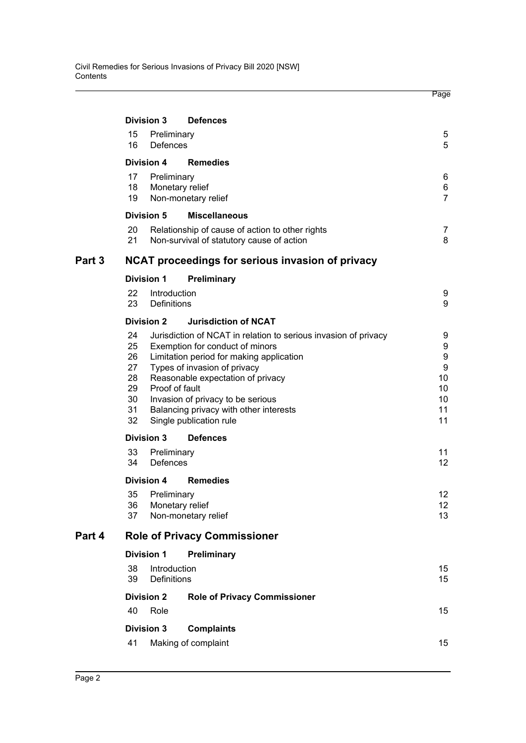|        |                                                    |                             |                                                                                                                                                                                                                                                                                                                                                 | Page                                                                         |
|--------|----------------------------------------------------|-----------------------------|-------------------------------------------------------------------------------------------------------------------------------------------------------------------------------------------------------------------------------------------------------------------------------------------------------------------------------------------------|------------------------------------------------------------------------------|
|        | <b>Division 3</b>                                  |                             | <b>Defences</b>                                                                                                                                                                                                                                                                                                                                 |                                                                              |
|        | 15<br>16                                           | Preliminary<br>Defences     |                                                                                                                                                                                                                                                                                                                                                 | 5<br>5                                                                       |
|        | <b>Division 4</b>                                  |                             | <b>Remedies</b>                                                                                                                                                                                                                                                                                                                                 |                                                                              |
|        | 17<br>18<br>19                                     | Preliminary                 | Monetary relief<br>Non-monetary relief                                                                                                                                                                                                                                                                                                          | 6<br>6<br>$\overline{7}$                                                     |
|        | <b>Division 5</b>                                  |                             | <b>Miscellaneous</b>                                                                                                                                                                                                                                                                                                                            |                                                                              |
|        | 20<br>21                                           |                             | Relationship of cause of action to other rights<br>Non-survival of statutory cause of action                                                                                                                                                                                                                                                    | 7<br>8                                                                       |
| Part 3 |                                                    |                             | NCAT proceedings for serious invasion of privacy                                                                                                                                                                                                                                                                                                |                                                                              |
|        | <b>Division 1</b>                                  |                             | Preliminary                                                                                                                                                                                                                                                                                                                                     |                                                                              |
|        | 22<br>23                                           | Introduction<br>Definitions |                                                                                                                                                                                                                                                                                                                                                 | 9<br>9                                                                       |
|        | <b>Division 2</b>                                  |                             | <b>Jurisdiction of NCAT</b>                                                                                                                                                                                                                                                                                                                     |                                                                              |
|        | 24<br>25<br>26<br>27<br>28<br>29<br>30<br>31<br>32 |                             | Jurisdiction of NCAT in relation to serious invasion of privacy<br>Exemption for conduct of minors<br>Limitation period for making application<br>Types of invasion of privacy<br>Reasonable expectation of privacy<br>Proof of fault<br>Invasion of privacy to be serious<br>Balancing privacy with other interests<br>Single publication rule | 9<br>9<br>$\boldsymbol{9}$<br>$\boldsymbol{9}$<br>10<br>10<br>10<br>11<br>11 |
|        | <b>Division 3</b>                                  |                             | <b>Defences</b>                                                                                                                                                                                                                                                                                                                                 |                                                                              |
|        | 33<br>34                                           | Preliminary<br>Defences     |                                                                                                                                                                                                                                                                                                                                                 | 11<br>12 <sup>°</sup>                                                        |
|        | <b>Division 4</b>                                  |                             | <b>Remedies</b>                                                                                                                                                                                                                                                                                                                                 |                                                                              |
|        | 35<br>36<br>37                                     | Preliminary                 | Monetary relief<br>Non-monetary relief                                                                                                                                                                                                                                                                                                          | 12 <sup>°</sup><br>12 <sup>°</sup><br>13                                     |
| Part 4 |                                                    |                             | <b>Role of Privacy Commissioner</b>                                                                                                                                                                                                                                                                                                             |                                                                              |
|        | <b>Division 1</b>                                  |                             | Preliminary                                                                                                                                                                                                                                                                                                                                     |                                                                              |
|        | 38<br>39                                           | Introduction<br>Definitions |                                                                                                                                                                                                                                                                                                                                                 | 15<br>15                                                                     |
|        | <b>Division 2</b>                                  |                             | <b>Role of Privacy Commissioner</b>                                                                                                                                                                                                                                                                                                             |                                                                              |
|        | 40                                                 | Role                        |                                                                                                                                                                                                                                                                                                                                                 | 15                                                                           |
|        | <b>Division 3</b>                                  |                             | <b>Complaints</b>                                                                                                                                                                                                                                                                                                                               |                                                                              |
|        | 41                                                 |                             | Making of complaint                                                                                                                                                                                                                                                                                                                             | 15                                                                           |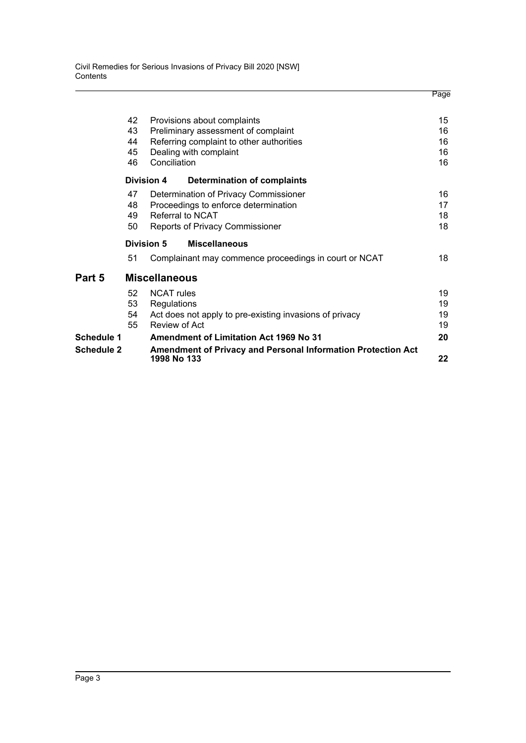|                   |    |                                                                                    | Page |
|-------------------|----|------------------------------------------------------------------------------------|------|
|                   | 42 | Provisions about complaints                                                        | 15   |
|                   | 43 | Preliminary assessment of complaint                                                | 16   |
|                   | 44 | Referring complaint to other authorities                                           | 16   |
|                   | 45 | Dealing with complaint                                                             | 16   |
|                   | 46 | Conciliation                                                                       | 16   |
|                   |    | <b>Division 4</b><br><b>Determination of complaints</b>                            |      |
|                   | 47 | Determination of Privacy Commissioner                                              | 16   |
|                   | 48 | Proceedings to enforce determination                                               | 17   |
|                   | 49 | <b>Referral to NCAT</b>                                                            | 18   |
|                   | 50 | <b>Reports of Privacy Commissioner</b>                                             | 18   |
|                   |    | Division 5<br><b>Miscellaneous</b>                                                 |      |
|                   | 51 | Complainant may commence proceedings in court or NCAT                              | 18   |
| Part 5            |    | <b>Miscellaneous</b>                                                               |      |
|                   | 52 | <b>NCAT</b> rules                                                                  | 19   |
|                   | 53 | Regulations                                                                        | 19   |
|                   | 54 | Act does not apply to pre-existing invasions of privacy                            | 19   |
|                   | 55 | Review of Act                                                                      | 19   |
| <b>Schedule 1</b> |    | <b>Amendment of Limitation Act 1969 No 31</b>                                      | 20   |
| <b>Schedule 2</b> |    | <b>Amendment of Privacy and Personal Information Protection Act</b><br>1998 No 133 | 22   |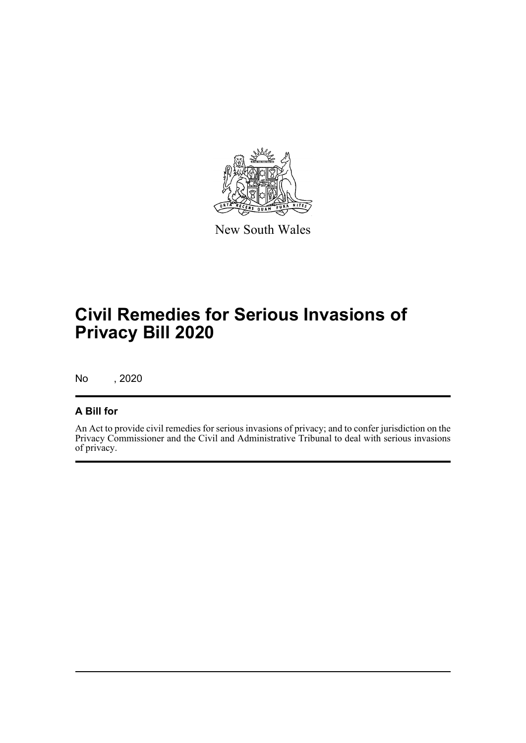

New South Wales

## **Civil Remedies for Serious Invasions of Privacy Bill 2020**

No , 2020

## **A Bill for**

An Act to provide civil remedies for serious invasions of privacy; and to confer jurisdiction on the Privacy Commissioner and the Civil and Administrative Tribunal to deal with serious invasions of privacy.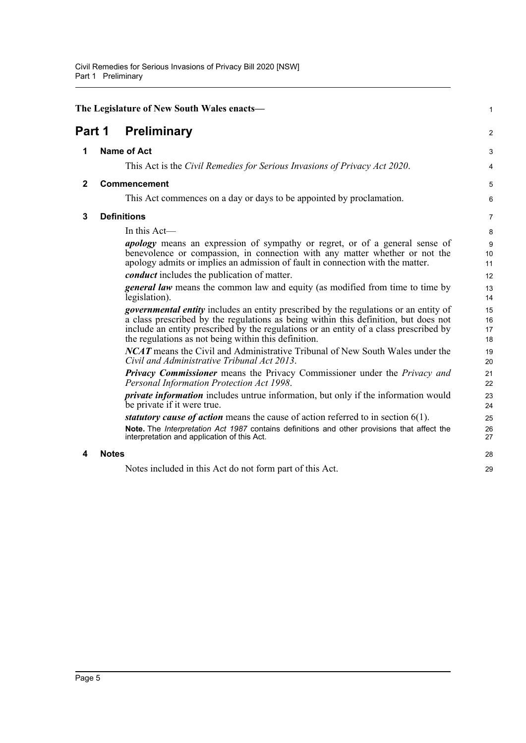<span id="page-10-4"></span><span id="page-10-3"></span><span id="page-10-2"></span><span id="page-10-1"></span><span id="page-10-0"></span>

|              |              | The Legislature of New South Wales enacts-                                                                                                                                                                                                                                                                                          | 1                       |
|--------------|--------------|-------------------------------------------------------------------------------------------------------------------------------------------------------------------------------------------------------------------------------------------------------------------------------------------------------------------------------------|-------------------------|
| Part 1       |              | <b>Preliminary</b>                                                                                                                                                                                                                                                                                                                  | $\overline{c}$          |
| 1            |              | <b>Name of Act</b>                                                                                                                                                                                                                                                                                                                  | 3                       |
|              |              | This Act is the Civil Remedies for Serious Invasions of Privacy Act 2020.                                                                                                                                                                                                                                                           | $\overline{\mathbf{4}}$ |
| $\mathbf{2}$ |              | Commencement                                                                                                                                                                                                                                                                                                                        | 5                       |
|              |              | This Act commences on a day or days to be appointed by proclamation.                                                                                                                                                                                                                                                                | 6                       |
| 3            |              | <b>Definitions</b>                                                                                                                                                                                                                                                                                                                  | 7                       |
|              |              | In this Act-                                                                                                                                                                                                                                                                                                                        | 8                       |
|              |              | <i>apology</i> means an expression of sympathy or regret, or of a general sense of<br>benevolence or compassion, in connection with any matter whether or not the<br>apology admits or implies an admission of fault in connection with the matter.                                                                                 | 9<br>10<br>11           |
|              |              | conduct includes the publication of matter.                                                                                                                                                                                                                                                                                         | 12                      |
|              |              | <b>general law</b> means the common law and equity (as modified from time to time by<br>legislation).                                                                                                                                                                                                                               | 13<br>14                |
|              |              | <i>governmental entity</i> includes an entity prescribed by the regulations or an entity of<br>a class prescribed by the regulations as being within this definition, but does not<br>include an entity prescribed by the regulations or an entity of a class prescribed by<br>the regulations as not being within this definition. | 15<br>16<br>17<br>18    |
|              |              | <b>NCAT</b> means the Civil and Administrative Tribunal of New South Wales under the<br>Civil and Administrative Tribunal Act 2013.                                                                                                                                                                                                 | 19<br>20                |
|              |              | <b>Privacy Commissioner</b> means the Privacy Commissioner under the Privacy and<br>Personal Information Protection Act 1998.                                                                                                                                                                                                       | 21<br>22                |
|              |              | <i>private information</i> includes untrue information, but only if the information would<br>be private if it were true.                                                                                                                                                                                                            | 23<br>24                |
|              |              | statutory cause of action means the cause of action referred to in section $6(1)$ .                                                                                                                                                                                                                                                 | 25                      |
|              |              | Note. The Interpretation Act 1987 contains definitions and other provisions that affect the<br>interpretation and application of this Act.                                                                                                                                                                                          | 26<br>27                |
| 4            | <b>Notes</b> |                                                                                                                                                                                                                                                                                                                                     | 28                      |
|              |              | Notes included in this Act do not form part of this Act.                                                                                                                                                                                                                                                                            | 29                      |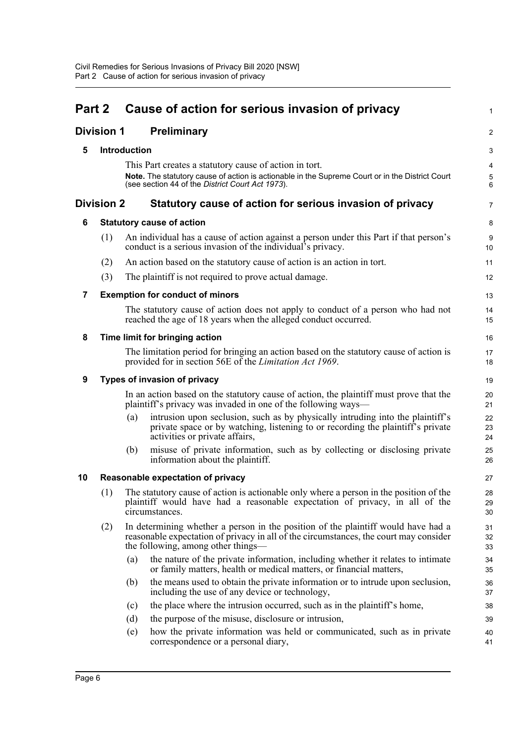<span id="page-11-8"></span><span id="page-11-7"></span><span id="page-11-6"></span><span id="page-11-5"></span><span id="page-11-4"></span><span id="page-11-3"></span><span id="page-11-2"></span><span id="page-11-1"></span><span id="page-11-0"></span>

| Part 2                  |                   |              | Cause of action for serious invasion of privacy                                                                                                                                                                  | $\mathbf{1}$           |
|-------------------------|-------------------|--------------|------------------------------------------------------------------------------------------------------------------------------------------------------------------------------------------------------------------|------------------------|
|                         | <b>Division 1</b> |              | <b>Preliminary</b>                                                                                                                                                                                               | $\overline{2}$         |
| 5                       |                   | Introduction |                                                                                                                                                                                                                  | 3                      |
|                         |                   |              | This Part creates a statutory cause of action in tort.                                                                                                                                                           | 4                      |
|                         |                   |              | Note. The statutory cause of action is actionable in the Supreme Court or in the District Court<br>(see section 44 of the District Court Act 1973).                                                              | 5<br>$\,6\,$           |
|                         | <b>Division 2</b> |              | Statutory cause of action for serious invasion of privacy                                                                                                                                                        | $\overline{7}$         |
| 6                       |                   |              | <b>Statutory cause of action</b>                                                                                                                                                                                 | 8                      |
|                         | (1)               |              | An individual has a cause of action against a person under this Part if that person's<br>conduct is a serious invasion of the individual's privacy.                                                              | $\boldsymbol{9}$<br>10 |
|                         | (2)               |              | An action based on the statutory cause of action is an action in tort.                                                                                                                                           | 11                     |
|                         | (3)               |              | The plaintiff is not required to prove actual damage.                                                                                                                                                            | 12                     |
| $\overline{\mathbf{7}}$ |                   |              | <b>Exemption for conduct of minors</b>                                                                                                                                                                           | 13                     |
|                         |                   |              | The statutory cause of action does not apply to conduct of a person who had not<br>reached the age of 18 years when the alleged conduct occurred.                                                                | 14<br>15               |
| 8                       |                   |              | Time limit for bringing action                                                                                                                                                                                   | 16                     |
|                         |                   |              | The limitation period for bringing an action based on the statutory cause of action is<br>provided for in section 56E of the Limitation Act 1969.                                                                | 17<br>18               |
| 9                       |                   |              | Types of invasion of privacy                                                                                                                                                                                     | 19                     |
|                         |                   |              | In an action based on the statutory cause of action, the plaintiff must prove that the<br>plaintiff's privacy was invaded in one of the following ways—                                                          | 20<br>21               |
|                         |                   | (a)          | intrusion upon seclusion, such as by physically intruding into the plaintiff's<br>private space or by watching, listening to or recording the plaintiff's private<br>activities or private affairs,              | 22<br>23<br>24         |
|                         |                   | (b)          | misuse of private information, such as by collecting or disclosing private<br>information about the plaintiff.                                                                                                   | 25<br>26               |
| 10                      |                   |              | Reasonable expectation of privacy                                                                                                                                                                                | 27                     |
|                         | (1)               |              | The statutory cause of action is actionable only where a person in the position of the<br>plaintiff would have had a reasonable expectation of privacy, in all of the<br>circumstances.                          | 28<br>29<br>30         |
|                         | (2)               |              | In determining whether a person in the position of the plaintiff would have had a<br>reasonable expectation of privacy in all of the circumstances, the court may consider<br>the following, among other things— | 31<br>32<br>33         |
|                         |                   | (a)          | the nature of the private information, including whether it relates to intimate<br>or family matters, health or medical matters, or financial matters,                                                           | 34<br>35               |
|                         |                   | (b)          | the means used to obtain the private information or to intrude upon seclusion,<br>including the use of any device or technology,                                                                                 | 36<br>37               |
|                         |                   | (c)          | the place where the intrusion occurred, such as in the plaintiff's home,                                                                                                                                         | 38                     |
|                         |                   | (d)          | the purpose of the misuse, disclosure or intrusion,                                                                                                                                                              | 39                     |
|                         |                   | (e)          | how the private information was held or communicated, such as in private<br>correspondence or a personal diary,                                                                                                  | 40<br>41               |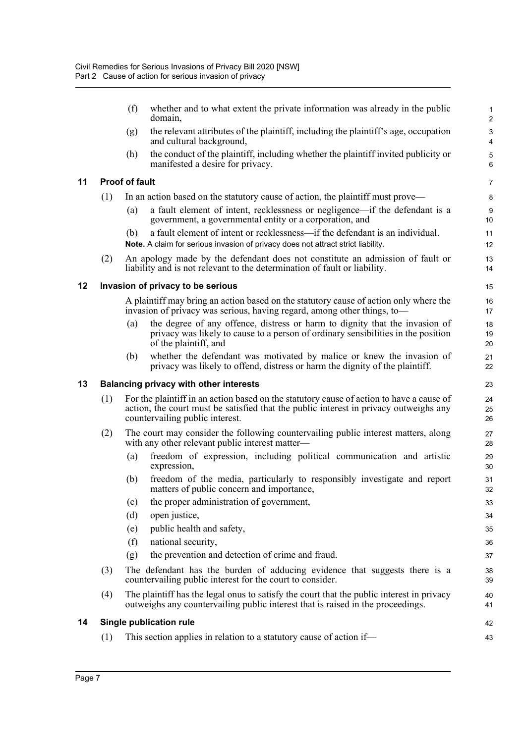|    |     | (f)                   | whether and to what extent the private information was already in the public<br>domain,                                                                                                                              | $\mathbf{1}$<br>$\overline{2}$ |
|----|-----|-----------------------|----------------------------------------------------------------------------------------------------------------------------------------------------------------------------------------------------------------------|--------------------------------|
|    |     | (g)                   | the relevant attributes of the plaintiff, including the plaintiff's age, occupation<br>and cultural background,                                                                                                      | $\ensuremath{\mathsf{3}}$<br>4 |
|    |     | (h)                   | the conduct of the plaintiff, including whether the plaintiff invited publicity or<br>manifested a desire for privacy.                                                                                               | $\mathbf 5$<br>6               |
| 11 |     | <b>Proof of fault</b> |                                                                                                                                                                                                                      | $\overline{7}$                 |
|    | (1) |                       | In an action based on the statutory cause of action, the plaintiff must prove—                                                                                                                                       | 8                              |
|    |     | (a)                   | a fault element of intent, recklessness or negligence—if the defendant is a<br>government, a governmental entity or a corporation, and                                                                               | $\boldsymbol{9}$<br>10         |
|    |     | (b)                   | a fault element of intent or recklessness—if the defendant is an individual.<br>Note. A claim for serious invasion of privacy does not attract strict liability.                                                     | 11<br>12                       |
|    | (2) |                       | An apology made by the defendant does not constitute an admission of fault or<br>liability and is not relevant to the determination of fault or liability.                                                           | 13<br>14                       |
| 12 |     |                       | Invasion of privacy to be serious                                                                                                                                                                                    | 15                             |
|    |     |                       | A plaintiff may bring an action based on the statutory cause of action only where the<br>invasion of privacy was serious, having regard, among other things, to-                                                     | 16<br>17                       |
|    |     | (a)                   | the degree of any offence, distress or harm to dignity that the invasion of<br>privacy was likely to cause to a person of ordinary sensibilities in the position<br>of the plaintiff, and                            | 18<br>19<br>20                 |
|    |     | (b)                   | whether the defendant was motivated by malice or knew the invasion of<br>privacy was likely to offend, distress or harm the dignity of the plaintiff.                                                                | 21<br>22                       |
| 13 |     |                       | <b>Balancing privacy with other interests</b>                                                                                                                                                                        | 23                             |
|    | (1) |                       | For the plaintiff in an action based on the statutory cause of action to have a cause of<br>action, the court must be satisfied that the public interest in privacy outweighs any<br>countervailing public interest. | 24<br>25<br>26                 |
|    | (2) |                       | The court may consider the following countervailing public interest matters, along<br>with any other relevant public interest matter-                                                                                | 27<br>28                       |
|    |     | (a)                   | freedom of expression, including political communication and artistic<br>expression,                                                                                                                                 | 29<br>30                       |
|    |     | (b)                   | freedom of the media, particularly to responsibly investigate and report<br>matters of public concern and importance,                                                                                                | 31<br>32                       |
|    |     | (c)                   | the proper administration of government,                                                                                                                                                                             | 33                             |
|    |     | (d)                   | open justice,                                                                                                                                                                                                        | 34                             |
|    |     |                       |                                                                                                                                                                                                                      |                                |
|    |     | (e)                   | public health and safety,                                                                                                                                                                                            | 35                             |
|    |     | (f)                   | national security,                                                                                                                                                                                                   | 36                             |
|    |     | (g)                   | the prevention and detection of crime and fraud.                                                                                                                                                                     | 37                             |
|    | (3) |                       | The defendant has the burden of adducing evidence that suggests there is a<br>countervailing public interest for the court to consider.                                                                              | 38<br>39                       |
|    | (4) |                       | The plaintiff has the legal onus to satisfy the court that the public interest in privacy<br>outweighs any countervailing public interest that is raised in the proceedings.                                         | 40<br>41                       |
| 14 |     |                       | Single publication rule                                                                                                                                                                                              | 42                             |

<span id="page-12-3"></span><span id="page-12-2"></span><span id="page-12-1"></span><span id="page-12-0"></span>**11 Proof of fault**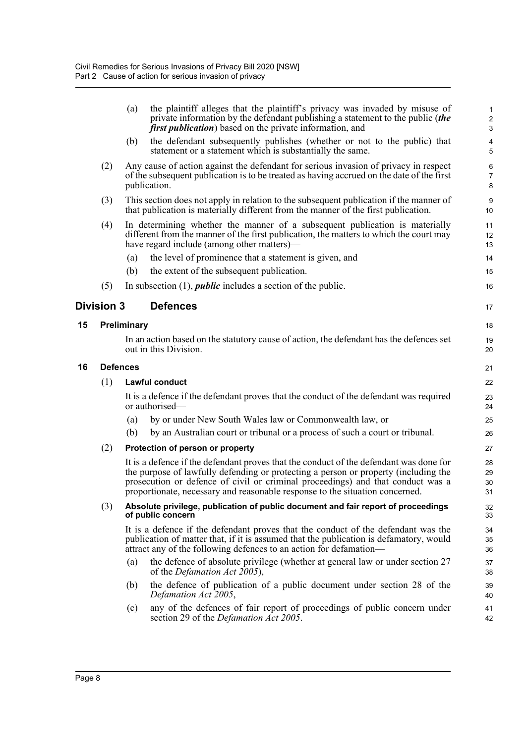<span id="page-13-2"></span><span id="page-13-1"></span><span id="page-13-0"></span>

| (b)<br>statement or a statement which is substantially the same.<br>Any cause of action against the defendant for serious invasion of privacy in respect<br>(2)<br>of the subsequent publication is to be treated as having accrued on the date of the first<br>publication.<br>This section does not apply in relation to the subsequent publication if the manner of<br>(3)<br>that publication is materially different from the manner of the first publication.<br>In determining whether the manner of a subsequent publication is materially<br>(4)<br>different from the manner of the first publication, the matters to which the court may<br>have regard include (among other matters)—<br>the level of prominence that a statement is given, and<br>(a)<br>the extent of the subsequent publication.<br>(b)<br>(5)<br>In subsection $(1)$ , <i>public</i> includes a section of the public.<br><b>Division 3</b><br><b>Defences</b><br>Preliminary<br>15<br>In an action based on the statutory cause of action, the defendant has the defences set<br>out in this Division.<br><b>Defences</b><br>16<br>(1)<br>Lawful conduct<br>It is a defence if the defendant proves that the conduct of the defendant was required<br>or authorised—<br>by or under New South Wales law or Commonwealth law, or<br>(a)<br>(b)<br>by an Australian court or tribunal or a process of such a court or tribunal.<br>(2)<br>Protection of person or property<br>It is a defence if the defendant proves that the conduct of the defendant was done for<br>the purpose of lawfully defending or protecting a person or property (including the<br>prosecution or defence of civil or criminal proceedings) and that conduct was a<br>proportionate, necessary and reasonable response to the situation concerned.<br>(3)<br>Absolute privilege, publication of public document and fair report of proceedings<br>of public concern<br>It is a defence if the defendant proves that the conduct of the defendant was the<br>publication of matter that, if it is assumed that the publication is defamatory, would<br>attract any of the following defences to an action for defamation—<br>(a)<br>of the <i>Defamation Act 2005</i> ),<br>(b)<br>Defamation Act 2005,<br>(c)<br>section 29 of the <i>Defamation Act 2005</i> . |  | (a) | the plaintiff alleges that the plaintiff's privacy was invaded by misuse of<br>private information by the defendant publishing a statement to the public (the<br><i>first publication</i> ) based on the private information, and | 1<br>$\overline{c}$<br>3 |
|----------------------------------------------------------------------------------------------------------------------------------------------------------------------------------------------------------------------------------------------------------------------------------------------------------------------------------------------------------------------------------------------------------------------------------------------------------------------------------------------------------------------------------------------------------------------------------------------------------------------------------------------------------------------------------------------------------------------------------------------------------------------------------------------------------------------------------------------------------------------------------------------------------------------------------------------------------------------------------------------------------------------------------------------------------------------------------------------------------------------------------------------------------------------------------------------------------------------------------------------------------------------------------------------------------------------------------------------------------------------------------------------------------------------------------------------------------------------------------------------------------------------------------------------------------------------------------------------------------------------------------------------------------------------------------------------------------------------------------------------------------------------------------------------------------------------------------------------------------------------------------------------------------------------------------------------------------------------------------------------------------------------------------------------------------------------------------------------------------------------------------------------------------------------------------------------------------------------------------------------------------------------------------------------------------------------------|--|-----|-----------------------------------------------------------------------------------------------------------------------------------------------------------------------------------------------------------------------------------|--------------------------|
|                                                                                                                                                                                                                                                                                                                                                                                                                                                                                                                                                                                                                                                                                                                                                                                                                                                                                                                                                                                                                                                                                                                                                                                                                                                                                                                                                                                                                                                                                                                                                                                                                                                                                                                                                                                                                                                                                                                                                                                                                                                                                                                                                                                                                                                                                                                            |  |     | the defendant subsequently publishes (whether or not to the public) that                                                                                                                                                          | 4<br>5                   |
|                                                                                                                                                                                                                                                                                                                                                                                                                                                                                                                                                                                                                                                                                                                                                                                                                                                                                                                                                                                                                                                                                                                                                                                                                                                                                                                                                                                                                                                                                                                                                                                                                                                                                                                                                                                                                                                                                                                                                                                                                                                                                                                                                                                                                                                                                                                            |  |     |                                                                                                                                                                                                                                   | 6<br>$\overline{7}$<br>8 |
|                                                                                                                                                                                                                                                                                                                                                                                                                                                                                                                                                                                                                                                                                                                                                                                                                                                                                                                                                                                                                                                                                                                                                                                                                                                                                                                                                                                                                                                                                                                                                                                                                                                                                                                                                                                                                                                                                                                                                                                                                                                                                                                                                                                                                                                                                                                            |  |     |                                                                                                                                                                                                                                   | 9<br>10                  |
|                                                                                                                                                                                                                                                                                                                                                                                                                                                                                                                                                                                                                                                                                                                                                                                                                                                                                                                                                                                                                                                                                                                                                                                                                                                                                                                                                                                                                                                                                                                                                                                                                                                                                                                                                                                                                                                                                                                                                                                                                                                                                                                                                                                                                                                                                                                            |  |     |                                                                                                                                                                                                                                   | 11<br>12<br>13           |
|                                                                                                                                                                                                                                                                                                                                                                                                                                                                                                                                                                                                                                                                                                                                                                                                                                                                                                                                                                                                                                                                                                                                                                                                                                                                                                                                                                                                                                                                                                                                                                                                                                                                                                                                                                                                                                                                                                                                                                                                                                                                                                                                                                                                                                                                                                                            |  |     |                                                                                                                                                                                                                                   | 14                       |
|                                                                                                                                                                                                                                                                                                                                                                                                                                                                                                                                                                                                                                                                                                                                                                                                                                                                                                                                                                                                                                                                                                                                                                                                                                                                                                                                                                                                                                                                                                                                                                                                                                                                                                                                                                                                                                                                                                                                                                                                                                                                                                                                                                                                                                                                                                                            |  |     |                                                                                                                                                                                                                                   | 15                       |
|                                                                                                                                                                                                                                                                                                                                                                                                                                                                                                                                                                                                                                                                                                                                                                                                                                                                                                                                                                                                                                                                                                                                                                                                                                                                                                                                                                                                                                                                                                                                                                                                                                                                                                                                                                                                                                                                                                                                                                                                                                                                                                                                                                                                                                                                                                                            |  |     |                                                                                                                                                                                                                                   | 16                       |
|                                                                                                                                                                                                                                                                                                                                                                                                                                                                                                                                                                                                                                                                                                                                                                                                                                                                                                                                                                                                                                                                                                                                                                                                                                                                                                                                                                                                                                                                                                                                                                                                                                                                                                                                                                                                                                                                                                                                                                                                                                                                                                                                                                                                                                                                                                                            |  |     |                                                                                                                                                                                                                                   | 17                       |
|                                                                                                                                                                                                                                                                                                                                                                                                                                                                                                                                                                                                                                                                                                                                                                                                                                                                                                                                                                                                                                                                                                                                                                                                                                                                                                                                                                                                                                                                                                                                                                                                                                                                                                                                                                                                                                                                                                                                                                                                                                                                                                                                                                                                                                                                                                                            |  |     |                                                                                                                                                                                                                                   | 18                       |
|                                                                                                                                                                                                                                                                                                                                                                                                                                                                                                                                                                                                                                                                                                                                                                                                                                                                                                                                                                                                                                                                                                                                                                                                                                                                                                                                                                                                                                                                                                                                                                                                                                                                                                                                                                                                                                                                                                                                                                                                                                                                                                                                                                                                                                                                                                                            |  |     |                                                                                                                                                                                                                                   | 19<br>20                 |
|                                                                                                                                                                                                                                                                                                                                                                                                                                                                                                                                                                                                                                                                                                                                                                                                                                                                                                                                                                                                                                                                                                                                                                                                                                                                                                                                                                                                                                                                                                                                                                                                                                                                                                                                                                                                                                                                                                                                                                                                                                                                                                                                                                                                                                                                                                                            |  |     |                                                                                                                                                                                                                                   | 21                       |
|                                                                                                                                                                                                                                                                                                                                                                                                                                                                                                                                                                                                                                                                                                                                                                                                                                                                                                                                                                                                                                                                                                                                                                                                                                                                                                                                                                                                                                                                                                                                                                                                                                                                                                                                                                                                                                                                                                                                                                                                                                                                                                                                                                                                                                                                                                                            |  |     |                                                                                                                                                                                                                                   | 22                       |
|                                                                                                                                                                                                                                                                                                                                                                                                                                                                                                                                                                                                                                                                                                                                                                                                                                                                                                                                                                                                                                                                                                                                                                                                                                                                                                                                                                                                                                                                                                                                                                                                                                                                                                                                                                                                                                                                                                                                                                                                                                                                                                                                                                                                                                                                                                                            |  |     |                                                                                                                                                                                                                                   | 23<br>24                 |
|                                                                                                                                                                                                                                                                                                                                                                                                                                                                                                                                                                                                                                                                                                                                                                                                                                                                                                                                                                                                                                                                                                                                                                                                                                                                                                                                                                                                                                                                                                                                                                                                                                                                                                                                                                                                                                                                                                                                                                                                                                                                                                                                                                                                                                                                                                                            |  |     |                                                                                                                                                                                                                                   | 25                       |
|                                                                                                                                                                                                                                                                                                                                                                                                                                                                                                                                                                                                                                                                                                                                                                                                                                                                                                                                                                                                                                                                                                                                                                                                                                                                                                                                                                                                                                                                                                                                                                                                                                                                                                                                                                                                                                                                                                                                                                                                                                                                                                                                                                                                                                                                                                                            |  |     |                                                                                                                                                                                                                                   | 26                       |
|                                                                                                                                                                                                                                                                                                                                                                                                                                                                                                                                                                                                                                                                                                                                                                                                                                                                                                                                                                                                                                                                                                                                                                                                                                                                                                                                                                                                                                                                                                                                                                                                                                                                                                                                                                                                                                                                                                                                                                                                                                                                                                                                                                                                                                                                                                                            |  |     |                                                                                                                                                                                                                                   | 27                       |
|                                                                                                                                                                                                                                                                                                                                                                                                                                                                                                                                                                                                                                                                                                                                                                                                                                                                                                                                                                                                                                                                                                                                                                                                                                                                                                                                                                                                                                                                                                                                                                                                                                                                                                                                                                                                                                                                                                                                                                                                                                                                                                                                                                                                                                                                                                                            |  |     |                                                                                                                                                                                                                                   | 28<br>29<br>30<br>31     |
|                                                                                                                                                                                                                                                                                                                                                                                                                                                                                                                                                                                                                                                                                                                                                                                                                                                                                                                                                                                                                                                                                                                                                                                                                                                                                                                                                                                                                                                                                                                                                                                                                                                                                                                                                                                                                                                                                                                                                                                                                                                                                                                                                                                                                                                                                                                            |  |     |                                                                                                                                                                                                                                   | 32<br>33                 |
|                                                                                                                                                                                                                                                                                                                                                                                                                                                                                                                                                                                                                                                                                                                                                                                                                                                                                                                                                                                                                                                                                                                                                                                                                                                                                                                                                                                                                                                                                                                                                                                                                                                                                                                                                                                                                                                                                                                                                                                                                                                                                                                                                                                                                                                                                                                            |  |     |                                                                                                                                                                                                                                   | 34<br>35<br>36           |
|                                                                                                                                                                                                                                                                                                                                                                                                                                                                                                                                                                                                                                                                                                                                                                                                                                                                                                                                                                                                                                                                                                                                                                                                                                                                                                                                                                                                                                                                                                                                                                                                                                                                                                                                                                                                                                                                                                                                                                                                                                                                                                                                                                                                                                                                                                                            |  |     | the defence of absolute privilege (whether at general law or under section 27                                                                                                                                                     | 37<br>38                 |
|                                                                                                                                                                                                                                                                                                                                                                                                                                                                                                                                                                                                                                                                                                                                                                                                                                                                                                                                                                                                                                                                                                                                                                                                                                                                                                                                                                                                                                                                                                                                                                                                                                                                                                                                                                                                                                                                                                                                                                                                                                                                                                                                                                                                                                                                                                                            |  |     | the defence of publication of a public document under section 28 of the                                                                                                                                                           | 39<br>40                 |
|                                                                                                                                                                                                                                                                                                                                                                                                                                                                                                                                                                                                                                                                                                                                                                                                                                                                                                                                                                                                                                                                                                                                                                                                                                                                                                                                                                                                                                                                                                                                                                                                                                                                                                                                                                                                                                                                                                                                                                                                                                                                                                                                                                                                                                                                                                                            |  |     | any of the defences of fair report of proceedings of public concern under                                                                                                                                                         | 41<br>42                 |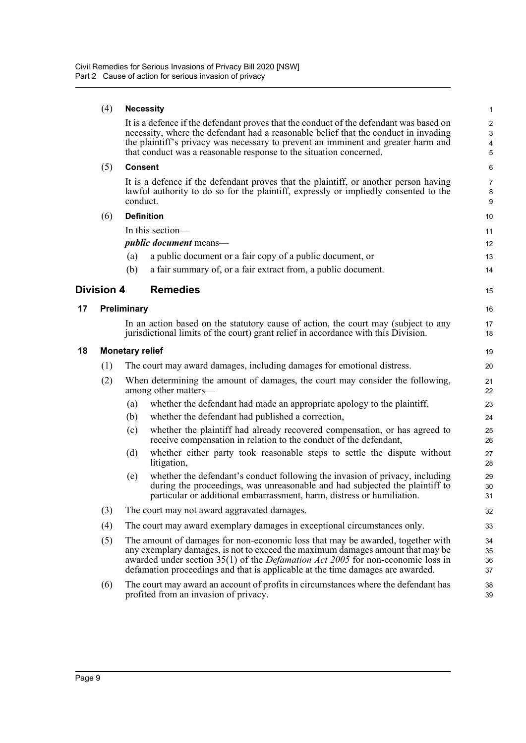#### (4) **Necessity**

It is a defence if the defendant proves that the conduct of the defendant was based on necessity, where the defendant had a reasonable belief that the conduct in invading the plaintiff's privacy was necessary to prevent an imminent and greater harm and that conduct was a reasonable response to the situation concerned.

15

16 17 18

#### (5) **Consent**

It is a defence if the defendant proves that the plaintiff, or another person having lawful authority to do so for the plaintiff, expressly or impliedly consented to the conduct.

#### (6) **Definition**

In this section—

*public document* means—

- (a) a public document or a fair copy of a public document, or
- (b) a fair summary of, or a fair extract from, a public document.

#### <span id="page-14-0"></span>**Division 4 Remedies**

#### <span id="page-14-1"></span>**17 Preliminary**

In an action based on the statutory cause of action, the court may (subject to any jurisdictional limits of the court) grant relief in accordance with this Division.

#### <span id="page-14-2"></span>**18 Monetary relief**

| (1) | The court may award damages, including damages for emotional distress.        |
|-----|-------------------------------------------------------------------------------|
| (2) | When determining the amount of damages, the court may consider the following, |

- among other matters—
	- (a) whether the defendant had made an appropriate apology to the plaintiff,
	- (b) whether the defendant had published a correction,
	- (c) whether the plaintiff had already recovered compensation, or has agreed to receive compensation in relation to the conduct of the defendant,
	- (d) whether either party took reasonable steps to settle the dispute without litigation,
	- (e) whether the defendant's conduct following the invasion of privacy, including during the proceedings, was unreasonable and had subjected the plaintiff to particular or additional embarrassment, harm, distress or humiliation.
- (3) The court may not award aggravated damages.
- (4) The court may award exemplary damages in exceptional circumstances only.
- (5) The amount of damages for non-economic loss that may be awarded, together with any exemplary damages, is not to exceed the maximum damages amount that may be awarded under section 35(1) of the *Defamation Act 2005* for non-economic loss in defamation proceedings and that is applicable at the time damages are awarded.
- (6) The court may award an account of profits in circumstances where the defendant has profited from an invasion of privacy.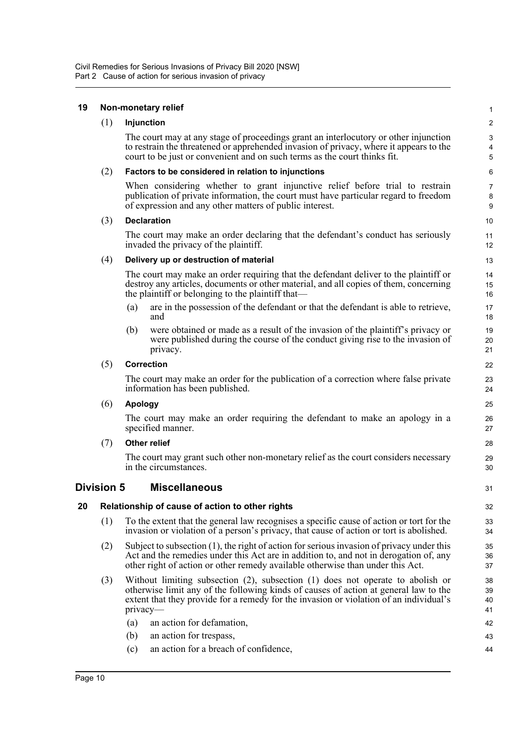<span id="page-15-2"></span><span id="page-15-1"></span><span id="page-15-0"></span>

| 19 |            | Non-monetary relief                                                                                                                                                                                                                                                               | $\mathbf{1}$         |
|----|------------|-----------------------------------------------------------------------------------------------------------------------------------------------------------------------------------------------------------------------------------------------------------------------------------|----------------------|
|    | (1)        | Injunction                                                                                                                                                                                                                                                                        | $\boldsymbol{2}$     |
|    |            | The court may at any stage of proceedings grant an interlocutory or other injunction<br>to restrain the threatened or apprehended invasion of privacy, where it appears to the<br>court to be just or convenient and on such terms as the court thinks fit.                       | 3<br>4<br>5          |
|    | (2)        | Factors to be considered in relation to injunctions                                                                                                                                                                                                                               | 6                    |
|    |            | When considering whether to grant injunctive relief before trial to restrain<br>publication of private information, the court must have particular regard to freedom<br>of expression and any other matters of public interest.                                                   | 7<br>8<br>9          |
|    | (3)        | <b>Declaration</b>                                                                                                                                                                                                                                                                | 10                   |
|    |            | The court may make an order declaring that the defendant's conduct has seriously<br>invaded the privacy of the plaintiff.                                                                                                                                                         | 11<br>12             |
|    | (4)        | Delivery up or destruction of material                                                                                                                                                                                                                                            | 13                   |
|    |            | The court may make an order requiring that the defendant deliver to the plaintiff or<br>destroy any articles, documents or other material, and all copies of them, concerning<br>the plaintiff or belonging to the plaintiff that—                                                | 14<br>15<br>16       |
|    |            | are in the possession of the defendant or that the defendant is able to retrieve,<br>(a)<br>and                                                                                                                                                                                   | 17<br>18             |
|    |            | were obtained or made as a result of the invasion of the plaintiff's privacy or<br>(b)<br>were published during the course of the conduct giving rise to the invasion of<br>privacy.                                                                                              | 19<br>20<br>21       |
|    | (5)        | <b>Correction</b>                                                                                                                                                                                                                                                                 | 22                   |
|    |            | The court may make an order for the publication of a correction where false private<br>information has been published.                                                                                                                                                            | 23<br>24             |
|    | (6)        | <b>Apology</b>                                                                                                                                                                                                                                                                    | 25                   |
|    |            | The court may make an order requiring the defendant to make an apology in a<br>specified manner.                                                                                                                                                                                  | 26<br>27             |
|    | (7)        | <b>Other relief</b>                                                                                                                                                                                                                                                               | 28                   |
|    |            | The court may grant such other non-monetary relief as the court considers necessary<br>in the circumstances.                                                                                                                                                                      | 29<br>30             |
|    | Division 5 | <b>Miscellaneous</b>                                                                                                                                                                                                                                                              | 31                   |
| 20 |            | Relationship of cause of action to other rights                                                                                                                                                                                                                                   | 32                   |
|    | (1)        | To the extent that the general law recognises a specific cause of action or tort for the<br>invasion or violation of a person's privacy, that cause of action or tort is abolished.                                                                                               | 33<br>34             |
|    | (2)        | Subject to subsection (1), the right of action for serious invasion of privacy under this<br>Act and the remedies under this Act are in addition to, and not in derogation of, any<br>other right of action or other remedy available otherwise than under this Act.              | 35<br>36<br>37       |
|    | (3)        | Without limiting subsection $(2)$ , subsection $(1)$ does not operate to abolish or<br>otherwise limit any of the following kinds of causes of action at general law to the<br>extent that they provide for a remedy for the invasion or violation of an individual's<br>privacy- | 38<br>39<br>40<br>41 |
|    |            | (a)<br>an action for defamation,                                                                                                                                                                                                                                                  | 42                   |
|    |            | (b)<br>an action for trespass,                                                                                                                                                                                                                                                    | 43                   |
|    |            | an action for a breach of confidence,<br>(c)                                                                                                                                                                                                                                      | 44                   |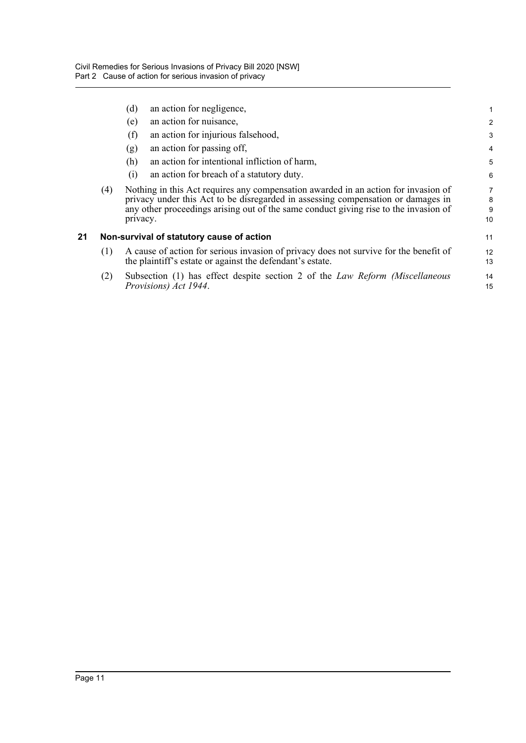<span id="page-16-0"></span>

|    |     | an action for negligence,<br>(d)                                                                                                                                                                                                                                           |                   |
|----|-----|----------------------------------------------------------------------------------------------------------------------------------------------------------------------------------------------------------------------------------------------------------------------------|-------------------|
|    |     | an action for nuisance,<br>(e)                                                                                                                                                                                                                                             | $\overline{a}$    |
|    |     | an action for injurious falsehood,<br>(f)                                                                                                                                                                                                                                  | 3                 |
|    |     | an action for passing off,<br>(g)                                                                                                                                                                                                                                          | 4                 |
|    |     | an action for intentional infliction of harm,<br>(h)                                                                                                                                                                                                                       | 5                 |
|    |     | an action for breach of a statutory duty.<br>(i)                                                                                                                                                                                                                           | 6                 |
|    | (4) | Nothing in this Act requires any compensation awarded in an action for invasion of<br>privacy under this Act to be disregarded in assessing compensation or damages in<br>any other proceedings arising out of the same conduct giving rise to the invasion of<br>privacy. | 7<br>8<br>9<br>10 |
| 21 |     | Non-survival of statutory cause of action                                                                                                                                                                                                                                  | 11                |
|    | (1) | A cause of action for serious invasion of privacy does not survive for the benefit of<br>the plaintiff's estate or against the defendant's estate.                                                                                                                         | 12<br>13          |
|    | (2) | Subsection (1) has effect despite section 2 of the Law Reform (Miscellaneous<br>Provisions) Act 1944.                                                                                                                                                                      | 14<br>15          |
|    |     |                                                                                                                                                                                                                                                                            |                   |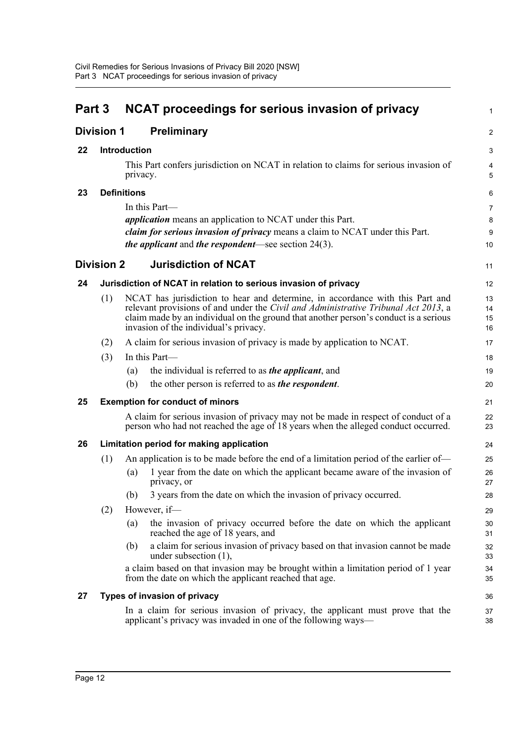<span id="page-17-8"></span><span id="page-17-7"></span><span id="page-17-6"></span><span id="page-17-5"></span><span id="page-17-4"></span><span id="page-17-3"></span><span id="page-17-2"></span><span id="page-17-1"></span><span id="page-17-0"></span>

| Part 3 |                   |                     | <b>NCAT proceedings for serious invasion of privacy</b>                                                                                                                                                                                                                                              | $\mathbf{1}$         |  |  |
|--------|-------------------|---------------------|------------------------------------------------------------------------------------------------------------------------------------------------------------------------------------------------------------------------------------------------------------------------------------------------------|----------------------|--|--|
|        | <b>Division 1</b> |                     | <b>Preliminary</b>                                                                                                                                                                                                                                                                                   | $\overline{2}$       |  |  |
| 22     |                   | <b>Introduction</b> |                                                                                                                                                                                                                                                                                                      |                      |  |  |
|        |                   | privacy.            | This Part confers jurisdiction on NCAT in relation to claims for serious invasion of                                                                                                                                                                                                                 | $\overline{4}$<br>5  |  |  |
| 23     |                   | <b>Definitions</b>  |                                                                                                                                                                                                                                                                                                      | 6                    |  |  |
|        |                   |                     | In this Part—                                                                                                                                                                                                                                                                                        | $\overline{7}$       |  |  |
|        |                   |                     | <i>application</i> means an application to NCAT under this Part.                                                                                                                                                                                                                                     | 8                    |  |  |
|        |                   |                     | claim for serious invasion of privacy means a claim to NCAT under this Part.<br><i>the applicant</i> and <i>the respondent</i> —see section $24(3)$ .                                                                                                                                                | 9<br>10              |  |  |
|        | <b>Division 2</b> |                     | <b>Jurisdiction of NCAT</b>                                                                                                                                                                                                                                                                          | 11                   |  |  |
| 24     |                   |                     | Jurisdiction of NCAT in relation to serious invasion of privacy                                                                                                                                                                                                                                      | 12                   |  |  |
|        | (1)               |                     | NCAT has jurisdiction to hear and determine, in accordance with this Part and<br>relevant provisions of and under the Civil and Administrative Tribunal Act 2013, a<br>claim made by an individual on the ground that another person's conduct is a serious<br>invasion of the individual's privacy. | 13<br>14<br>15<br>16 |  |  |
|        | (2)               |                     | A claim for serious invasion of privacy is made by application to NCAT.                                                                                                                                                                                                                              | 17                   |  |  |
|        | (3)               |                     | In this Part-                                                                                                                                                                                                                                                                                        | 18                   |  |  |
|        |                   | (a)                 | the individual is referred to as <i>the applicant</i> , and                                                                                                                                                                                                                                          | 19                   |  |  |
|        |                   | (b)                 | the other person is referred to as <i>the respondent</i> .                                                                                                                                                                                                                                           | 20                   |  |  |
| 25     |                   |                     | <b>Exemption for conduct of minors</b>                                                                                                                                                                                                                                                               | 21                   |  |  |
|        |                   |                     | A claim for serious invasion of privacy may not be made in respect of conduct of a<br>person who had not reached the age of 18 years when the alleged conduct occurred.                                                                                                                              | 22<br>23             |  |  |
| 26     |                   |                     | Limitation period for making application                                                                                                                                                                                                                                                             | 24                   |  |  |
|        | (1)               |                     | An application is to be made before the end of a limitation period of the earlier of-                                                                                                                                                                                                                | 25                   |  |  |
|        |                   | (a)                 | 1 year from the date on which the applicant became aware of the invasion of<br>privacy, or                                                                                                                                                                                                           | 26<br>27             |  |  |
|        |                   |                     | (b) 3 years from the date on which the invasion of privacy occurred.                                                                                                                                                                                                                                 | 28                   |  |  |
|        | (2)               |                     | However, if-                                                                                                                                                                                                                                                                                         | 29                   |  |  |
|        |                   | (a)                 | the invasion of privacy occurred before the date on which the applicant<br>reached the age of 18 years, and                                                                                                                                                                                          | 30<br>31             |  |  |
|        |                   | (b)                 | a claim for serious invasion of privacy based on that invasion cannot be made<br>under subsection $(1)$ ,                                                                                                                                                                                            | 32<br>33             |  |  |
|        |                   |                     | a claim based on that invasion may be brought within a limitation period of 1 year<br>from the date on which the applicant reached that age.                                                                                                                                                         | 34<br>35             |  |  |
| 27     |                   |                     | Types of invasion of privacy                                                                                                                                                                                                                                                                         | 36                   |  |  |
|        |                   |                     | In a claim for serious invasion of privacy, the applicant must prove that the<br>applicant's privacy was invaded in one of the following ways—                                                                                                                                                       | 37<br>38             |  |  |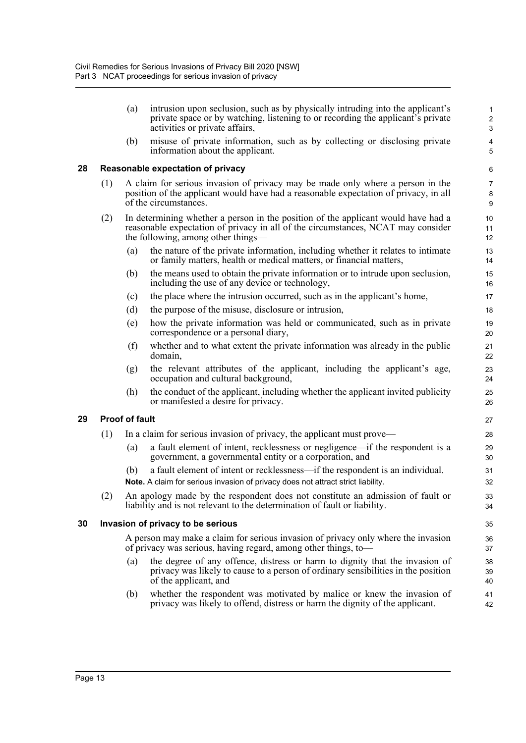<span id="page-18-0"></span>

|    |     | (a)                   | intrusion upon seclusion, such as by physically intruding into the applicant's<br>private space or by watching, listening to or recording the applicant's private<br>activities or private affairs,         | $\mathbf{1}$<br>$\overline{c}$<br>3 |
|----|-----|-----------------------|-------------------------------------------------------------------------------------------------------------------------------------------------------------------------------------------------------------|-------------------------------------|
|    |     | (b)                   | misuse of private information, such as by collecting or disclosing private<br>information about the applicant.                                                                                              | $\overline{\mathbf{4}}$<br>5        |
| 28 |     |                       | Reasonable expectation of privacy                                                                                                                                                                           | 6                                   |
|    | (1) |                       | A claim for serious invasion of privacy may be made only where a person in the<br>position of the applicant would have had a reasonable expectation of privacy, in all<br>of the circumstances.             | $\overline{7}$<br>8<br>9            |
|    | (2) |                       | In determining whether a person in the position of the applicant would have had a<br>reasonable expectation of privacy in all of the circumstances, NCAT may consider<br>the following, among other things— | 10<br>11<br>12                      |
|    |     | (a)                   | the nature of the private information, including whether it relates to intimate<br>or family matters, health or medical matters, or financial matters,                                                      | 13<br>14                            |
|    |     | (b)                   | the means used to obtain the private information or to intrude upon seclusion,<br>including the use of any device or technology,                                                                            | 15<br>16                            |
|    |     | (c)                   | the place where the intrusion occurred, such as in the applicant's home,                                                                                                                                    | 17                                  |
|    |     | (d)                   | the purpose of the misuse, disclosure or intrusion,                                                                                                                                                         | 18                                  |
|    |     | (e)                   | how the private information was held or communicated, such as in private<br>correspondence or a personal diary,                                                                                             | 19<br>20                            |
|    |     | (f)                   | whether and to what extent the private information was already in the public<br>domain,                                                                                                                     | 21<br>22                            |
|    |     | (g)                   | the relevant attributes of the applicant, including the applicant's age,<br>occupation and cultural background,                                                                                             | 23<br>24                            |
|    |     | (h)                   | the conduct of the applicant, including whether the applicant invited publicity<br>or manifested a desire for privacy.                                                                                      | 25<br>26                            |
| 29 |     | <b>Proof of fault</b> |                                                                                                                                                                                                             | 27                                  |
|    | (1) |                       | In a claim for serious invasion of privacy, the applicant must prove—                                                                                                                                       | 28                                  |
|    |     | (a)                   | a fault element of intent, recklessness or negligence—if the respondent is a<br>government, a governmental entity or a corporation, and                                                                     | 29<br>30                            |
|    |     | (b)                   | a fault element of intent or recklessness—if the respondent is an individual.<br>Note. A claim for serious invasion of privacy does not attract strict liability.                                           | 31<br>32                            |
|    |     |                       | (2) An apology made by the respondent does not constitute an admission of fault or<br>liability and is not relevant to the determination of fault or liability.                                             | 33<br>34                            |
| 30 |     |                       | Invasion of privacy to be serious                                                                                                                                                                           | 35                                  |
|    |     |                       | A person may make a claim for serious invasion of privacy only where the invasion<br>of privacy was serious, having regard, among other things, to-                                                         | 36<br>37                            |
|    |     | (a)                   | the degree of any offence, distress or harm to dignity that the invasion of<br>privacy was likely to cause to a person of ordinary sensibilities in the position<br>of the applicant, and                   | 38<br>39<br>40                      |
|    |     | (b)                   | whether the respondent was motivated by malice or knew the invasion of<br>privacy was likely to offend, distress or harm the dignity of the applicant.                                                      | 41<br>42                            |

<span id="page-18-2"></span><span id="page-18-1"></span>**29 Proof of fault**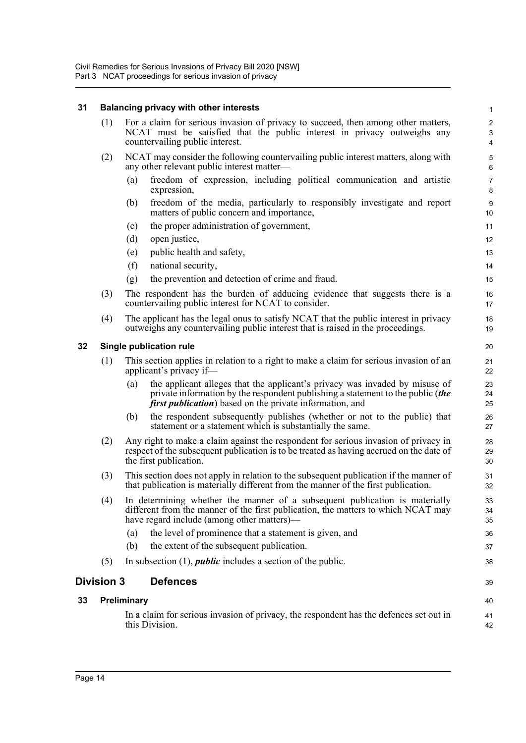### **31 Balancing privacy with other interests**

<span id="page-19-3"></span><span id="page-19-2"></span><span id="page-19-1"></span><span id="page-19-0"></span>

| 31 | Balancing privacy with other interests |                                                                                                                                                                                                                                           |                           |  |  |  |
|----|----------------------------------------|-------------------------------------------------------------------------------------------------------------------------------------------------------------------------------------------------------------------------------------------|---------------------------|--|--|--|
|    | (1)                                    | For a claim for serious invasion of privacy to succeed, then among other matters,<br>NCAT must be satisfied that the public interest in privacy outweighs any<br>countervailing public interest.                                          |                           |  |  |  |
|    | (2)                                    | NCAT may consider the following countervailing public interest matters, along with<br>any other relevant public interest matter-                                                                                                          | $\mathbf 5$<br>6          |  |  |  |
|    |                                        | freedom of expression, including political communication and artistic<br>(a)<br>expression,                                                                                                                                               | $\overline{7}$<br>$\bf 8$ |  |  |  |
|    |                                        | freedom of the media, particularly to responsibly investigate and report<br>(b)<br>matters of public concern and importance,                                                                                                              | $\boldsymbol{9}$<br>10    |  |  |  |
|    |                                        | (c)<br>the proper administration of government,                                                                                                                                                                                           | 11                        |  |  |  |
|    |                                        | (d)<br>open justice,                                                                                                                                                                                                                      | 12                        |  |  |  |
|    |                                        | public health and safety,<br>(e)                                                                                                                                                                                                          | 13                        |  |  |  |
|    |                                        | (f)<br>national security,                                                                                                                                                                                                                 | 14                        |  |  |  |
|    |                                        | the prevention and detection of crime and fraud.<br>(g)                                                                                                                                                                                   | 15                        |  |  |  |
|    | (3)                                    | The respondent has the burden of adducing evidence that suggests there is a<br>countervailing public interest for NCAT to consider.                                                                                                       | 16<br>17                  |  |  |  |
|    | (4)                                    | The applicant has the legal onus to satisfy NCAT that the public interest in privacy<br>outweighs any countervailing public interest that is raised in the proceedings.                                                                   | 18<br>19                  |  |  |  |
| 32 |                                        | Single publication rule                                                                                                                                                                                                                   |                           |  |  |  |
|    | (1)                                    | This section applies in relation to a right to make a claim for serious invasion of an<br>applicant's privacy if-                                                                                                                         | 21<br>22                  |  |  |  |
|    |                                        | the applicant alleges that the applicant's privacy was invaded by misuse of<br>(a)<br>private information by the respondent publishing a statement to the public (the<br><i>first publication</i> ) based on the private information, and | 23<br>24<br>25            |  |  |  |
|    |                                        | (b)<br>the respondent subsequently publishes (whether or not to the public) that<br>statement or a statement which is substantially the same.                                                                                             | 26<br>27                  |  |  |  |
|    | (2)                                    | Any right to make a claim against the respondent for serious invasion of privacy in<br>respect of the subsequent publication is to be treated as having accrued on the date of<br>the first publication.                                  |                           |  |  |  |
|    | (3)                                    | This section does not apply in relation to the subsequent publication if the manner of<br>that publication is materially different from the manner of the first publication.                                                              |                           |  |  |  |
|    | (4)                                    | In determining whether the manner of a subsequent publication is materially<br>different from the manner of the first publication, the matters to which NCAT may<br>have regard include (among other matters)—                            | 33<br>34<br>35            |  |  |  |
|    |                                        | the level of prominence that a statement is given, and<br>(a)                                                                                                                                                                             | 36                        |  |  |  |
|    |                                        | (b)<br>the extent of the subsequent publication.                                                                                                                                                                                          | 37                        |  |  |  |
|    | (5)                                    | In subsection $(1)$ , <i>public</i> includes a section of the public.                                                                                                                                                                     | 38                        |  |  |  |
|    | <b>Division 3</b>                      | <b>Defences</b>                                                                                                                                                                                                                           | 39                        |  |  |  |
| 33 |                                        | Preliminary                                                                                                                                                                                                                               | 40                        |  |  |  |
|    |                                        | In a claim for serious invasion of privacy, the respondent has the defences set out in<br>this Division.                                                                                                                                  | 41<br>42                  |  |  |  |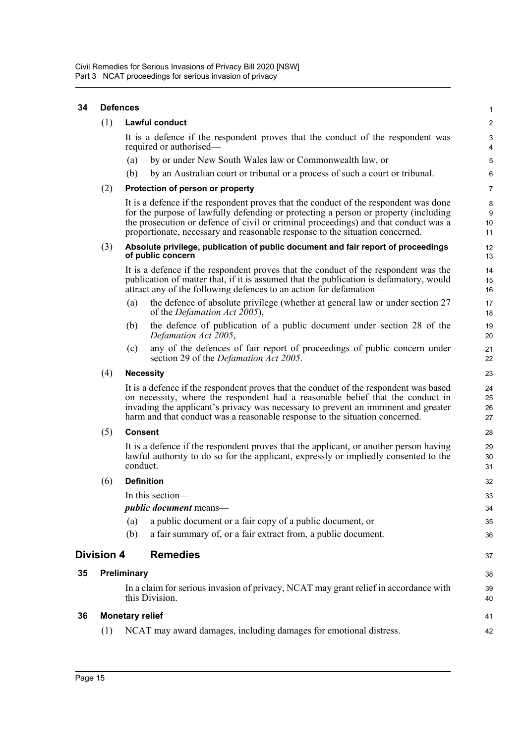<span id="page-20-3"></span><span id="page-20-2"></span><span id="page-20-1"></span><span id="page-20-0"></span>

| 34                                   | <b>Defences</b>        |                                                                                                                                                                                                                                                                                                                                                    |                                                                                                                                                                                                                                                                                                                                             |                      |  |
|--------------------------------------|------------------------|----------------------------------------------------------------------------------------------------------------------------------------------------------------------------------------------------------------------------------------------------------------------------------------------------------------------------------------------------|---------------------------------------------------------------------------------------------------------------------------------------------------------------------------------------------------------------------------------------------------------------------------------------------------------------------------------------------|----------------------|--|
|                                      | (1)                    | Lawful conduct                                                                                                                                                                                                                                                                                                                                     |                                                                                                                                                                                                                                                                                                                                             |                      |  |
|                                      |                        |                                                                                                                                                                                                                                                                                                                                                    | It is a defence if the respondent proves that the conduct of the respondent was<br>required or authorised-                                                                                                                                                                                                                                  | $\sqrt{3}$<br>4      |  |
|                                      |                        | (a)                                                                                                                                                                                                                                                                                                                                                | by or under New South Wales law or Commonwealth law, or                                                                                                                                                                                                                                                                                     | 5                    |  |
|                                      |                        | (b)                                                                                                                                                                                                                                                                                                                                                | by an Australian court or tribunal or a process of such a court or tribunal.                                                                                                                                                                                                                                                                | 6                    |  |
|                                      | (2)                    | Protection of person or property                                                                                                                                                                                                                                                                                                                   |                                                                                                                                                                                                                                                                                                                                             |                      |  |
|                                      |                        | It is a defence if the respondent proves that the conduct of the respondent was done<br>for the purpose of lawfully defending or protecting a person or property (including<br>the prosecution or defence of civil or criminal proceedings) and that conduct was a<br>proportionate, necessary and reasonable response to the situation concerned. |                                                                                                                                                                                                                                                                                                                                             |                      |  |
|                                      | (3)                    | Absolute privilege, publication of public document and fair report of proceedings<br>of public concern                                                                                                                                                                                                                                             |                                                                                                                                                                                                                                                                                                                                             |                      |  |
|                                      |                        | It is a defence if the respondent proves that the conduct of the respondent was the<br>publication of matter that, if it is assumed that the publication is defamatory, would<br>attract any of the following defences to an action for defamation—                                                                                                |                                                                                                                                                                                                                                                                                                                                             |                      |  |
|                                      |                        | (a)                                                                                                                                                                                                                                                                                                                                                | the defence of absolute privilege (whether at general law or under section 27<br>of the <i>Defamation Act 2005</i> ),                                                                                                                                                                                                                       | 17<br>18             |  |
|                                      |                        | (b)                                                                                                                                                                                                                                                                                                                                                | the defence of publication of a public document under section 28 of the<br>Defamation Act 2005,                                                                                                                                                                                                                                             | 19<br>20             |  |
|                                      |                        | (c)                                                                                                                                                                                                                                                                                                                                                | any of the defences of fair report of proceedings of public concern under<br>section 29 of the <i>Defamation Act 2005</i> .                                                                                                                                                                                                                 | 21<br>22             |  |
|                                      | (4)                    | <b>Necessity</b>                                                                                                                                                                                                                                                                                                                                   |                                                                                                                                                                                                                                                                                                                                             |                      |  |
|                                      |                        |                                                                                                                                                                                                                                                                                                                                                    | It is a defence if the respondent proves that the conduct of the respondent was based<br>on necessity, where the respondent had a reasonable belief that the conduct in<br>invading the applicant's privacy was necessary to prevent an imminent and greater<br>harm and that conduct was a reasonable response to the situation concerned. | 24<br>25<br>26<br>27 |  |
|                                      | (5)                    | <b>Consent</b>                                                                                                                                                                                                                                                                                                                                     |                                                                                                                                                                                                                                                                                                                                             |                      |  |
|                                      |                        | It is a defence if the respondent proves that the applicant, or another person having<br>lawful authority to do so for the applicant, expressly or impliedly consented to the<br>conduct.                                                                                                                                                          |                                                                                                                                                                                                                                                                                                                                             |                      |  |
|                                      | (6)                    |                                                                                                                                                                                                                                                                                                                                                    | <b>Definition</b>                                                                                                                                                                                                                                                                                                                           | 32                   |  |
|                                      |                        |                                                                                                                                                                                                                                                                                                                                                    | In this section—                                                                                                                                                                                                                                                                                                                            | 33                   |  |
|                                      |                        |                                                                                                                                                                                                                                                                                                                                                    | <i>public document</i> means—                                                                                                                                                                                                                                                                                                               | 34                   |  |
|                                      |                        | (a)                                                                                                                                                                                                                                                                                                                                                | a public document or a fair copy of a public document, or                                                                                                                                                                                                                                                                                   | 35                   |  |
|                                      |                        | (b)                                                                                                                                                                                                                                                                                                                                                | a fair summary of, or a fair extract from, a public document.                                                                                                                                                                                                                                                                               | 36                   |  |
| <b>Remedies</b><br><b>Division 4</b> |                        |                                                                                                                                                                                                                                                                                                                                                    |                                                                                                                                                                                                                                                                                                                                             | 37                   |  |
| 35                                   | Preliminary            |                                                                                                                                                                                                                                                                                                                                                    |                                                                                                                                                                                                                                                                                                                                             |                      |  |
|                                      |                        |                                                                                                                                                                                                                                                                                                                                                    | In a claim for serious invasion of privacy, NCAT may grant relief in accordance with<br>this Division.                                                                                                                                                                                                                                      | 39<br>40             |  |
| 36                                   | <b>Monetary relief</b> |                                                                                                                                                                                                                                                                                                                                                    |                                                                                                                                                                                                                                                                                                                                             |                      |  |
|                                      | (1)                    |                                                                                                                                                                                                                                                                                                                                                    | NCAT may award damages, including damages for emotional distress.                                                                                                                                                                                                                                                                           | 42                   |  |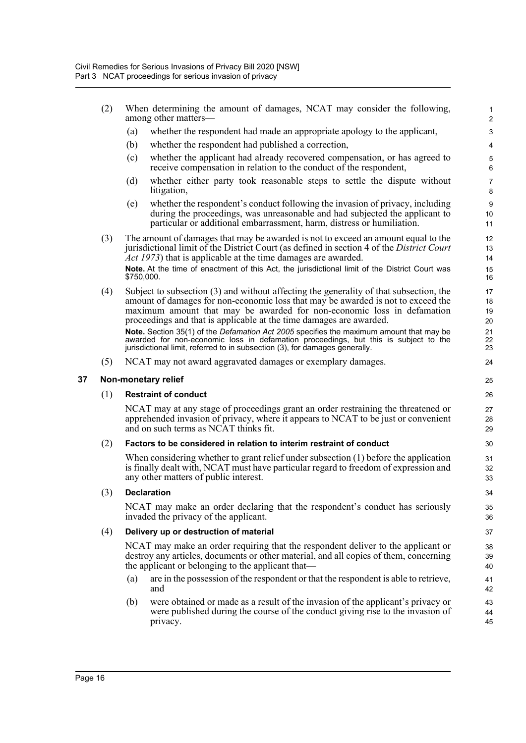- (2) When determining the amount of damages, NCAT may consider the following, among other matters—
	- (a) whether the respondent had made an appropriate apology to the applicant,
	- (b) whether the respondent had published a correction,
	- (c) whether the applicant had already recovered compensation, or has agreed to receive compensation in relation to the conduct of the respondent,

- (d) whether either party took reasonable steps to settle the dispute without litigation,
- (e) whether the respondent's conduct following the invasion of privacy, including during the proceedings, was unreasonable and had subjected the applicant to particular or additional embarrassment, harm, distress or humiliation.
- (3) The amount of damages that may be awarded is not to exceed an amount equal to the jurisdictional limit of the District Court (as defined in section 4 of the *District Court Act 1973*) that is applicable at the time damages are awarded. **Note.** At the time of enactment of this Act, the jurisdictional limit of the District Court was

\$750,000.

(4) Subject to subsection (3) and without affecting the generality of that subsection, the amount of damages for non-economic loss that may be awarded is not to exceed the maximum amount that may be awarded for non-economic loss in defamation proceedings and that is applicable at the time damages are awarded. **Note.** Section 35(1) of the *Defamation Act 2005* specifies the maximum amount that may be

awarded for non-economic loss in defamation proceedings, but this is subject to the jurisdictional limit, referred to in subsection (3), for damages generally.

(5) NCAT may not award aggravated damages or exemplary damages.

#### <span id="page-21-0"></span>**37 Non-monetary relief**

#### (1) **Restraint of conduct**

NCAT may at any stage of proceedings grant an order restraining the threatened or apprehended invasion of privacy, where it appears to NCAT to be just or convenient and on such terms as NCAT thinks fit.

#### (2) **Factors to be considered in relation to interim restraint of conduct**

When considering whether to grant relief under subsection (1) before the application is finally dealt with, NCAT must have particular regard to freedom of expression and any other matters of public interest.

#### (3) **Declaration**

NCAT may make an order declaring that the respondent's conduct has seriously invaded the privacy of the applicant.

#### (4) **Delivery up or destruction of material**

NCAT may make an order requiring that the respondent deliver to the applicant or destroy any articles, documents or other material, and all copies of them, concerning the applicant or belonging to the applicant that—

- (a) are in the possession of the respondent or that the respondent is able to retrieve, and
- (b) were obtained or made as a result of the invasion of the applicant's privacy or were published during the course of the conduct giving rise to the invasion of privacy.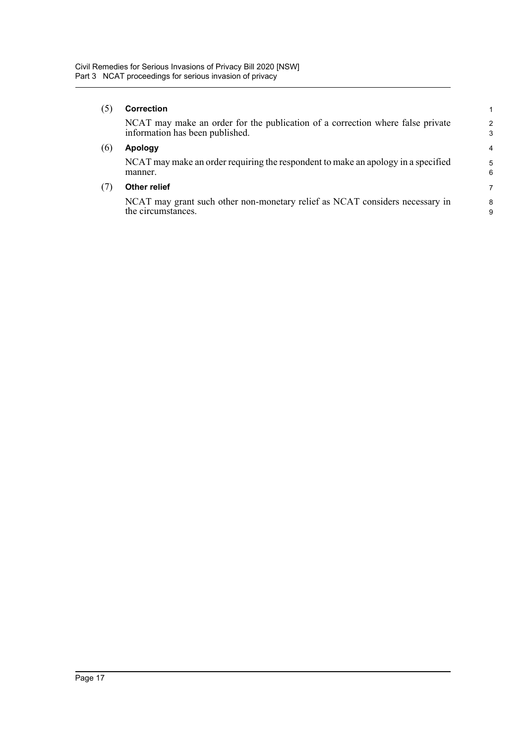#### (5) **Correction**

NCAT may make an order for the publication of a correction where false private information has been published.

#### (6) **Apology**

NCAT may make an order requiring the respondent to make an apology in a specified manner.

#### (7) **Other relief**

NCAT may grant such other non-monetary relief as NCAT considers necessary in the circumstances.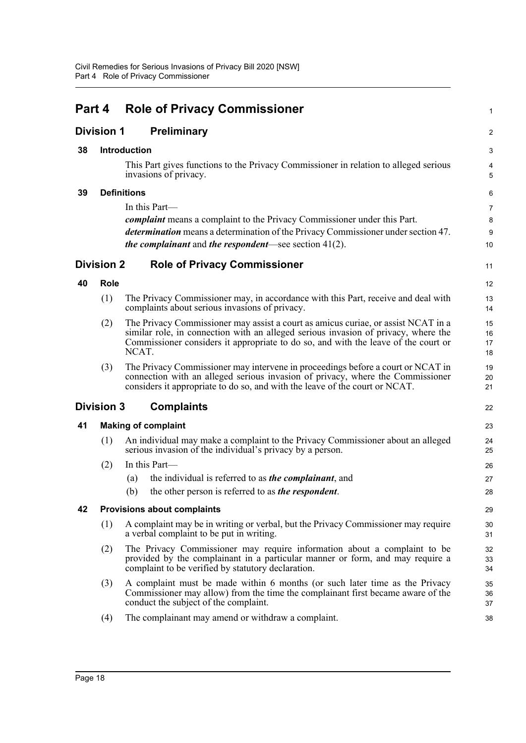<span id="page-23-8"></span><span id="page-23-7"></span><span id="page-23-6"></span><span id="page-23-5"></span><span id="page-23-4"></span><span id="page-23-3"></span><span id="page-23-2"></span><span id="page-23-1"></span><span id="page-23-0"></span>

| Part 4            |                                                                                                               | <b>Role of Privacy Commissioner</b>                                                                                                          |                                                                                                                                                                                                                                                               |                      |  |  |
|-------------------|---------------------------------------------------------------------------------------------------------------|----------------------------------------------------------------------------------------------------------------------------------------------|---------------------------------------------------------------------------------------------------------------------------------------------------------------------------------------------------------------------------------------------------------------|----------------------|--|--|
| <b>Division 1</b> |                                                                                                               |                                                                                                                                              | <b>Preliminary</b>                                                                                                                                                                                                                                            | $\overline{2}$       |  |  |
| 38                |                                                                                                               | <b>Introduction</b>                                                                                                                          |                                                                                                                                                                                                                                                               | 3                    |  |  |
|                   | This Part gives functions to the Privacy Commissioner in relation to alleged serious<br>invasions of privacy. |                                                                                                                                              |                                                                                                                                                                                                                                                               |                      |  |  |
| 39                |                                                                                                               | <b>Definitions</b>                                                                                                                           |                                                                                                                                                                                                                                                               | 6                    |  |  |
|                   |                                                                                                               | In this Part—                                                                                                                                |                                                                                                                                                                                                                                                               |                      |  |  |
|                   |                                                                                                               | <i>complaint</i> means a complaint to the Privacy Commissioner under this Part.                                                              |                                                                                                                                                                                                                                                               |                      |  |  |
|                   |                                                                                                               |                                                                                                                                              | <i>determination</i> means a determination of the Privacy Commissioner under section 47.<br><i>the complainant</i> and <i>the respondent—see section</i> $41(2)$ .                                                                                            | $9\,$<br>10          |  |  |
| <b>Division 2</b> |                                                                                                               |                                                                                                                                              | <b>Role of Privacy Commissioner</b>                                                                                                                                                                                                                           | 11                   |  |  |
| 40                | Role                                                                                                          |                                                                                                                                              |                                                                                                                                                                                                                                                               | 12                   |  |  |
|                   | (1)                                                                                                           |                                                                                                                                              | The Privacy Commissioner may, in accordance with this Part, receive and deal with<br>complaints about serious invasions of privacy.                                                                                                                           | 13<br>14             |  |  |
|                   | (2)                                                                                                           | NCAT.                                                                                                                                        | The Privacy Commissioner may assist a court as amicus curiae, or assist NCAT in a<br>similar role, in connection with an alleged serious invasion of privacy, where the<br>Commissioner considers it appropriate to do so, and with the leave of the court or | 15<br>16<br>17<br>18 |  |  |
|                   | (3)                                                                                                           |                                                                                                                                              | The Privacy Commissioner may intervene in proceedings before a court or NCAT in<br>connection with an alleged serious invasion of privacy, where the Commissioner<br>considers it appropriate to do so, and with the leave of the court or NCAT.              | 19<br>20<br>21       |  |  |
| <b>Division 3</b> |                                                                                                               |                                                                                                                                              | <b>Complaints</b>                                                                                                                                                                                                                                             | 22                   |  |  |
| 41                | <b>Making of complaint</b>                                                                                    |                                                                                                                                              |                                                                                                                                                                                                                                                               |                      |  |  |
|                   | (1)                                                                                                           | An individual may make a complaint to the Privacy Commissioner about an alleged<br>serious invasion of the individual's privacy by a person. |                                                                                                                                                                                                                                                               | 24<br>25             |  |  |
|                   | (2)                                                                                                           |                                                                                                                                              | In this Part-                                                                                                                                                                                                                                                 | 26                   |  |  |
|                   |                                                                                                               | (a)                                                                                                                                          | the individual is referred to as <i>the complainant</i> , and                                                                                                                                                                                                 | 27                   |  |  |
|                   |                                                                                                               | (b)                                                                                                                                          | the other person is referred to as <i>the respondent</i> .                                                                                                                                                                                                    | 28                   |  |  |
| 42                |                                                                                                               |                                                                                                                                              | <b>Provisions about complaints</b>                                                                                                                                                                                                                            | 29                   |  |  |
|                   | (1)                                                                                                           |                                                                                                                                              | A complaint may be in writing or verbal, but the Privacy Commissioner may require<br>a verbal complaint to be put in writing.                                                                                                                                 | 30<br>31             |  |  |
|                   | (2)                                                                                                           |                                                                                                                                              | The Privacy Commissioner may require information about a complaint to be<br>provided by the complainant in a particular manner or form, and may require a<br>complaint to be verified by statutory declaration.                                               | 32<br>33<br>34       |  |  |
|                   | (3)                                                                                                           |                                                                                                                                              | A complaint must be made within 6 months (or such later time as the Privacy<br>Commissioner may allow) from the time the complainant first became aware of the<br>conduct the subject of the complaint.                                                       | 35<br>36<br>37       |  |  |
|                   | (4)                                                                                                           |                                                                                                                                              | The complainant may amend or withdraw a complaint.                                                                                                                                                                                                            | 38                   |  |  |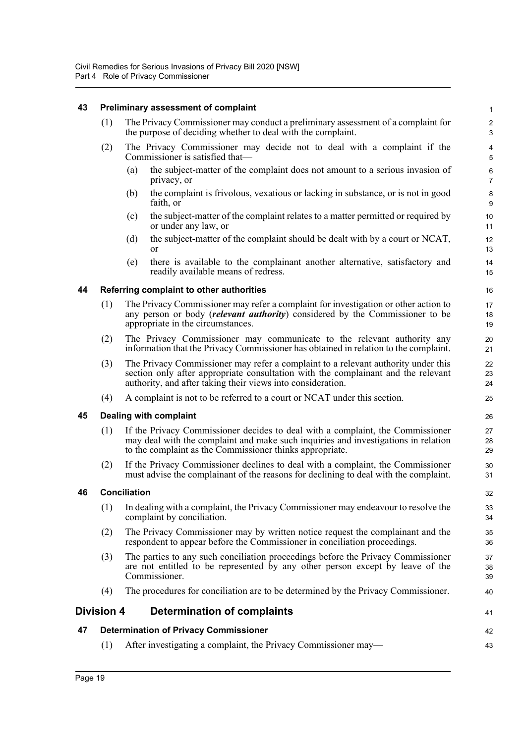#### <span id="page-24-0"></span>**43 Preliminary assessment of complaint**

- (1) The Privacy Commissioner may conduct a preliminary assessment of a complaint for the purpose of deciding whether to deal with the complaint.
- (2) The Privacy Commissioner may decide not to deal with a complaint if the Commissioner is satisfied that—
	- (a) the subject-matter of the complaint does not amount to a serious invasion of privacy, or

41

42

- (b) the complaint is frivolous, vexatious or lacking in substance, or is not in good faith, or
- (c) the subject-matter of the complaint relates to a matter permitted or required by or under any law, or
- (d) the subject-matter of the complaint should be dealt with by a court or NCAT, or
- (e) there is available to the complainant another alternative, satisfactory and readily available means of redress.

#### <span id="page-24-1"></span>**44 Referring complaint to other authorities**

- (1) The Privacy Commissioner may refer a complaint for investigation or other action to any person or body (*relevant authority*) considered by the Commissioner to be appropriate in the circumstances.
- (2) The Privacy Commissioner may communicate to the relevant authority any information that the Privacy Commissioner has obtained in relation to the complaint.
- (3) The Privacy Commissioner may refer a complaint to a relevant authority under this section only after appropriate consultation with the complainant and the relevant authority, and after taking their views into consideration.
- (4) A complaint is not to be referred to a court or NCAT under this section.

#### <span id="page-24-2"></span>**45 Dealing with complaint**

- (1) If the Privacy Commissioner decides to deal with a complaint, the Commissioner may deal with the complaint and make such inquiries and investigations in relation to the complaint as the Commissioner thinks appropriate.
- (2) If the Privacy Commissioner declines to deal with a complaint, the Commissioner must advise the complainant of the reasons for declining to deal with the complaint.

#### <span id="page-24-3"></span>**46 Conciliation**

- (1) In dealing with a complaint, the Privacy Commissioner may endeavour to resolve the complaint by conciliation.
- (2) The Privacy Commissioner may by written notice request the complainant and the respondent to appear before the Commissioner in conciliation proceedings.
- (3) The parties to any such conciliation proceedings before the Privacy Commissioner are not entitled to be represented by any other person except by leave of the Commissioner.
- (4) The procedures for conciliation are to be determined by the Privacy Commissioner.

#### <span id="page-24-4"></span>**Division 4 Determination of complaints**

#### <span id="page-24-5"></span>**47 Determination of Privacy Commissioner**

(1) After investigating a complaint, the Privacy Commissioner may— 43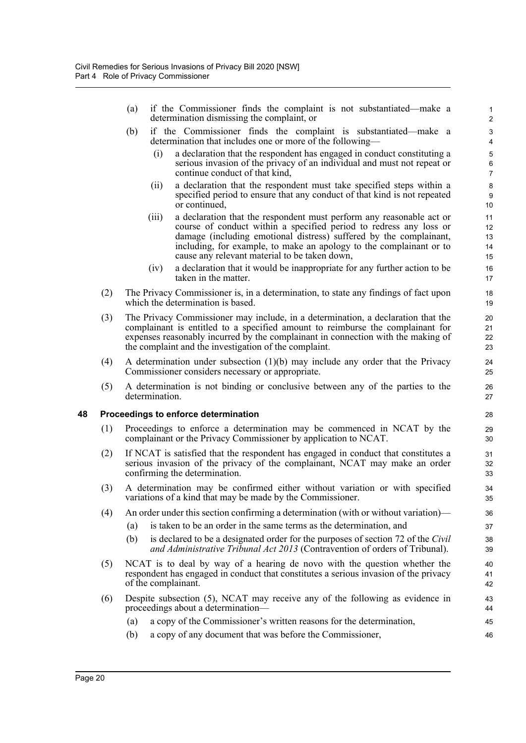- (a) if the Commissioner finds the complaint is not substantiated—make a determination dismissing the complaint, or
- (b) if the Commissioner finds the complaint is substantiated—make a determination that includes one or more of the following—
	- (i) a declaration that the respondent has engaged in conduct constituting a serious invasion of the privacy of an individual and must not repeat or continue conduct of that kind,

- (ii) a declaration that the respondent must take specified steps within a specified period to ensure that any conduct of that kind is not repeated or continued,
- (iii) a declaration that the respondent must perform any reasonable act or course of conduct within a specified period to redress any loss or damage (including emotional distress) suffered by the complainant, including, for example, to make an apology to the complainant or to cause any relevant material to be taken down,
- (iv) a declaration that it would be inappropriate for any further action to be taken in the matter.
- (2) The Privacy Commissioner is, in a determination, to state any findings of fact upon which the determination is based.
- (3) The Privacy Commissioner may include, in a determination, a declaration that the complainant is entitled to a specified amount to reimburse the complainant for expenses reasonably incurred by the complainant in connection with the making of the complaint and the investigation of the complaint.
- (4) A determination under subsection (1)(b) may include any order that the Privacy Commissioner considers necessary or appropriate.
- (5) A determination is not binding or conclusive between any of the parties to the determination.

#### <span id="page-25-0"></span>**48 Proceedings to enforce determination**

- (1) Proceedings to enforce a determination may be commenced in NCAT by the complainant or the Privacy Commissioner by application to NCAT.
- (2) If NCAT is satisfied that the respondent has engaged in conduct that constitutes a serious invasion of the privacy of the complainant, NCAT may make an order confirming the determination.
- (3) A determination may be confirmed either without variation or with specified variations of a kind that may be made by the Commissioner.
- (4) An order under this section confirming a determination (with or without variation)—
	- (a) is taken to be an order in the same terms as the determination, and
	- (b) is declared to be a designated order for the purposes of section 72 of the *Civil and Administrative Tribunal Act 2013* (Contravention of orders of Tribunal).
- (5) NCAT is to deal by way of a hearing de novo with the question whether the respondent has engaged in conduct that constitutes a serious invasion of the privacy of the complainant.
- (6) Despite subsection (5), NCAT may receive any of the following as evidence in proceedings about a determination—
	- (a) a copy of the Commissioner's written reasons for the determination,
	- (b) a copy of any document that was before the Commissioner,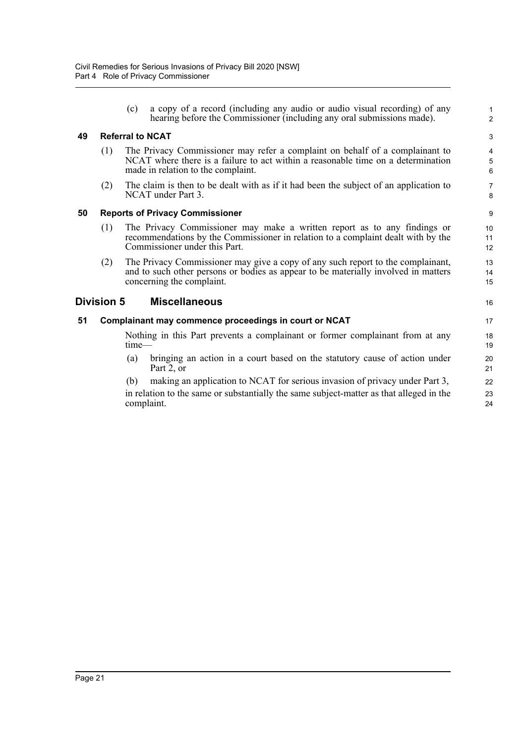<span id="page-26-3"></span><span id="page-26-2"></span><span id="page-26-1"></span><span id="page-26-0"></span>

|    |                   | (c)                     | a copy of a record (including any audio or audio visual recording) of any<br>hearing before the Commissioner (including any oral submissions made).                                                    | $\mathbf{1}$<br>$\overline{2}$ |  |
|----|-------------------|-------------------------|--------------------------------------------------------------------------------------------------------------------------------------------------------------------------------------------------------|--------------------------------|--|
| 49 |                   | <b>Referral to NCAT</b> |                                                                                                                                                                                                        |                                |  |
|    | (1)               |                         | The Privacy Commissioner may refer a complaint on behalf of a complainant to<br>NCAT where there is a failure to act within a reasonable time on a determination<br>made in relation to the complaint. | 4<br>5<br>6                    |  |
|    | (2)               |                         | The claim is then to be dealt with as if it had been the subject of an application to<br>NCAT under Part 3.                                                                                            | $\overline{7}$<br>8            |  |
| 50 |                   |                         | <b>Reports of Privacy Commissioner</b>                                                                                                                                                                 | 9                              |  |
|    | (1)               |                         | The Privacy Commissioner may make a written report as to any findings or<br>recommendations by the Commissioner in relation to a complaint dealt with by the<br>Commissioner under this Part.          | 10<br>11<br>12                 |  |
|    | (2)               |                         | The Privacy Commissioner may give a copy of any such report to the complainant,<br>and to such other persons or bodies as appear to be materially involved in matters<br>concerning the complaint.     | 13<br>14<br>15                 |  |
|    | <b>Division 5</b> |                         | <b>Miscellaneous</b>                                                                                                                                                                                   | 16                             |  |
| 51 |                   |                         | Complainant may commence proceedings in court or NCAT                                                                                                                                                  | 17                             |  |
|    |                   | $time$ —                | Nothing in this Part prevents a complainant or former complainant from at any                                                                                                                          | 18<br>19                       |  |
|    |                   | (a)                     | bringing an action in a court based on the statutory cause of action under<br>Part 2, or                                                                                                               | 20<br>21                       |  |
|    |                   | (b)                     | making an application to NCAT for serious invasion of privacy under Part 3,                                                                                                                            | 22                             |  |
|    |                   |                         | in relation to the same or substantially the same subject-matter as that alleged in the<br>complaint.                                                                                                  | 23<br>24                       |  |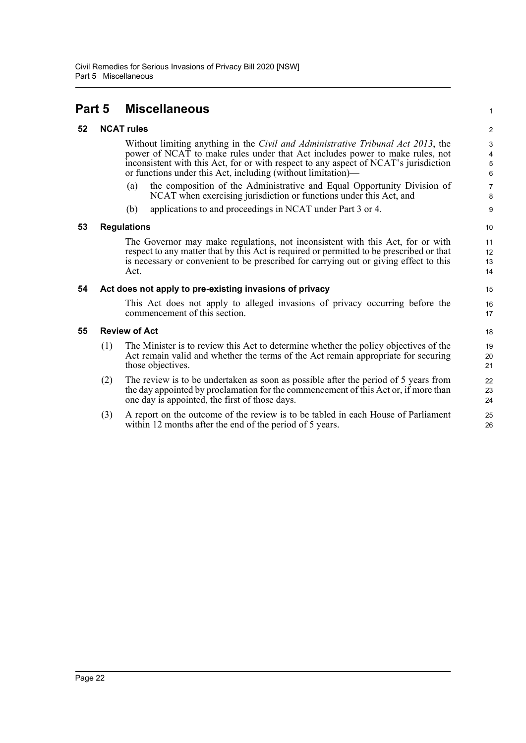## <span id="page-27-0"></span>**Part 5 Miscellaneous**

#### <span id="page-27-1"></span>**52 NCAT rules**

Without limiting anything in the *Civil and Administrative Tribunal Act 2013*, the power of NCAT to make rules under that Act includes power to make rules, not inconsistent with this Act, for or with respect to any aspect of NCAT's jurisdiction or functions under this Act, including (without limitation)—

- (a) the composition of the Administrative and Equal Opportunity Division of NCAT when exercising jurisdiction or functions under this Act, and
- (b) applications to and proceedings in NCAT under Part 3 or 4.

#### <span id="page-27-2"></span>**53 Regulations**

The Governor may make regulations, not inconsistent with this Act, for or with respect to any matter that by this Act is required or permitted to be prescribed or that is necessary or convenient to be prescribed for carrying out or giving effect to this Act.

#### <span id="page-27-3"></span>**54 Act does not apply to pre-existing invasions of privacy**

This Act does not apply to alleged invasions of privacy occurring before the commencement of this section.

#### <span id="page-27-4"></span>**55 Review of Act**

- (1) The Minister is to review this Act to determine whether the policy objectives of the Act remain valid and whether the terms of the Act remain appropriate for securing those objectives.
- (2) The review is to be undertaken as soon as possible after the period of 5 years from the day appointed by proclamation for the commencement of this Act or, if more than one day is appointed, the first of those days.
- (3) A report on the outcome of the review is to be tabled in each House of Parliament within 12 months after the end of the period of 5 years.

1  $\overline{2}$ 

9 10 11

12 13 14

15 16 17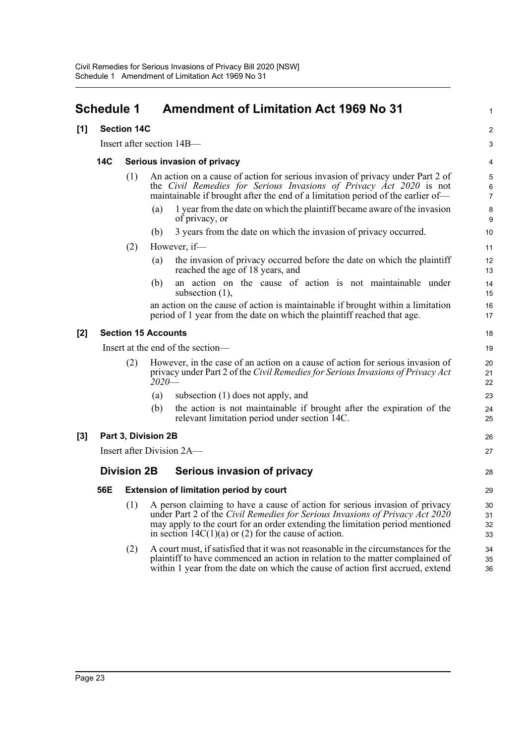<span id="page-28-0"></span>

| <b>Schedule 1</b> | <b>Amendment of Limitation Act 1969 No 31</b> |  |  |  |  |
|-------------------|-----------------------------------------------|--|--|--|--|
| [1] Section 14C   |                                               |  |  |  |  |

Insert after section 14B—

#### **14C Serious invasion of privacy**

- (1) An action on a cause of action for serious invasion of privacy under Part 2 of the *Civil Remedies for Serious Invasions of Privacy Act 2020* is not maintainable if brought after the end of a limitation period of the earlier of—
	- (a) 1 year from the date on which the plaintiff became aware of the invasion of privacy, or

1

26 27

28

- (b) 3 years from the date on which the invasion of privacy occurred.
- (2) However, if—
	- (a) the invasion of privacy occurred before the date on which the plaintiff reached the age of 18 years, and
	- (b) an action on the cause of action is not maintainable under subsection (1),

an action on the cause of action is maintainable if brought within a limitation period of 1 year from the date on which the plaintiff reached that age.

#### **[2] Section 15 Accounts**

Insert at the end of the section—

- (2) However, in the case of an action on a cause of action for serious invasion of privacy under Part 2 of the *Civil Remedies for Serious Invasions of Privacy Act 2020*—
	- (a) subsection (1) does not apply, and
	- (b) the action is not maintainable if brought after the expiration of the relevant limitation period under section 14C.

#### **[3] Part 3, Division 2B**

Insert after Division 2A—

#### **Division 2B Serious invasion of privacy**

#### **56E Extension of limitation period by court**

- (1) A person claiming to have a cause of action for serious invasion of privacy under Part 2 of the *Civil Remedies for Serious Invasions of Privacy Act 2020* may apply to the court for an order extending the limitation period mentioned in section  $14C(1)(a)$  or (2) for the cause of action.
- (2) A court must, if satisfied that it was not reasonable in the circumstances for the plaintiff to have commenced an action in relation to the matter complained of within 1 year from the date on which the cause of action first accrued, extend  $34$ 35 36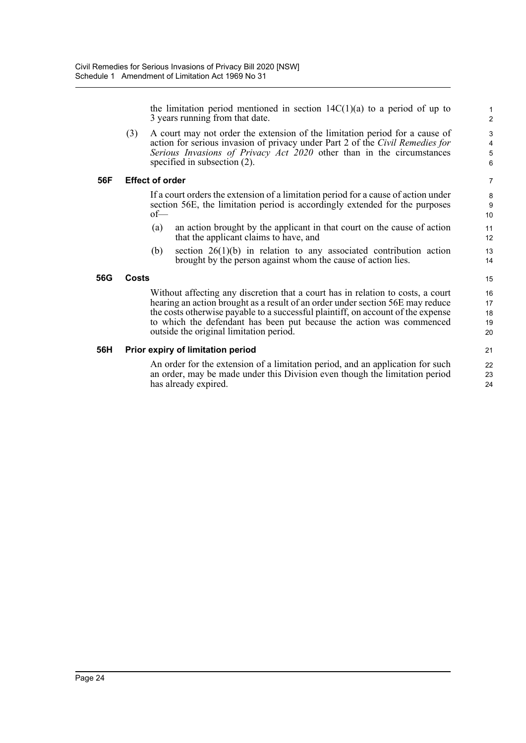the limitation period mentioned in section  $14C(1)(a)$  to a period of up to 3 years running from that date.

(3) A court may not order the extension of the limitation period for a cause of action for serious invasion of privacy under Part 2 of the *Civil Remedies for Serious Invasions of Privacy Act 2020* other than in the circumstances specified in subsection (2).

#### **56F Effect of order**

If a court orders the extension of a limitation period for a cause of action under section 56E, the limitation period is accordingly extended for the purposes of—

- (a) an action brought by the applicant in that court on the cause of action that the applicant claims to have, and
- (b) section 26(1)(b) in relation to any associated contribution action brought by the person against whom the cause of action lies.

#### **56G Costs**

Without affecting any discretion that a court has in relation to costs, a court hearing an action brought as a result of an order under section 56E may reduce the costs otherwise payable to a successful plaintiff, on account of the expense to which the defendant has been put because the action was commenced outside the original limitation period.

#### **56H Prior expiry of limitation period**

An order for the extension of a limitation period, and an application for such an order, may be made under this Division even though the limitation period has already expired.